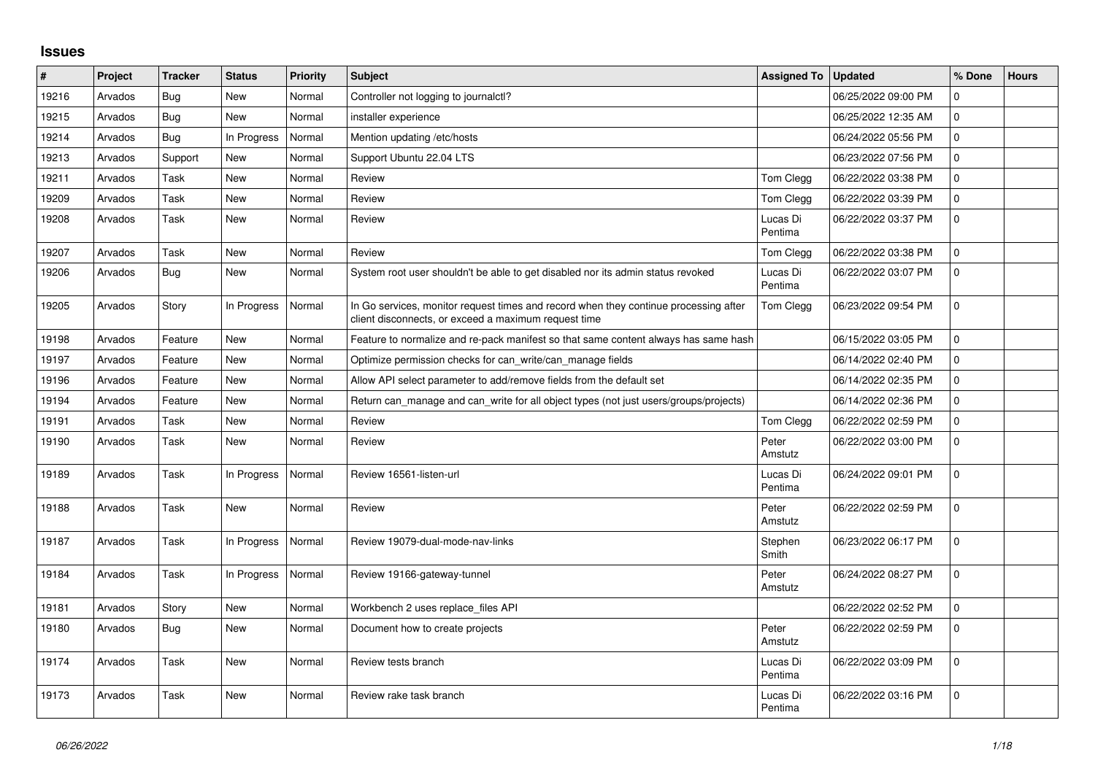## **Issues**

| #     | Project | <b>Tracker</b> | <b>Status</b> | Priority | <b>Subject</b>                                                                                                                               | Assigned To   Updated |                     | % Done         | <b>Hours</b> |
|-------|---------|----------------|---------------|----------|----------------------------------------------------------------------------------------------------------------------------------------------|-----------------------|---------------------|----------------|--------------|
| 19216 | Arvados | Bug            | <b>New</b>    | Normal   | Controller not logging to journalctl?                                                                                                        |                       | 06/25/2022 09:00 PM | $\Omega$       |              |
| 19215 | Arvados | Bug            | <b>New</b>    | Normal   | installer experience                                                                                                                         |                       | 06/25/2022 12:35 AM | $\mathbf 0$    |              |
| 19214 | Arvados | Bug            | In Progress   | Normal   | Mention updating /etc/hosts                                                                                                                  |                       | 06/24/2022 05:56 PM | $\Omega$       |              |
| 19213 | Arvados | Support        | <b>New</b>    | Normal   | Support Ubuntu 22.04 LTS                                                                                                                     |                       | 06/23/2022 07:56 PM | $\Omega$       |              |
| 19211 | Arvados | Task           | <b>New</b>    | Normal   | Review                                                                                                                                       | Tom Clegg             | 06/22/2022 03:38 PM | $\Omega$       |              |
| 19209 | Arvados | Task           | <b>New</b>    | Normal   | Review                                                                                                                                       | Tom Clegg             | 06/22/2022 03:39 PM | $\mathbf 0$    |              |
| 19208 | Arvados | Task           | <b>New</b>    | Normal   | Review                                                                                                                                       | Lucas Di<br>Pentima   | 06/22/2022 03:37 PM | $\mathbf 0$    |              |
| 19207 | Arvados | Task           | <b>New</b>    | Normal   | Review                                                                                                                                       | Tom Clegg             | 06/22/2022 03:38 PM | $\mathbf 0$    |              |
| 19206 | Arvados | Bug            | <b>New</b>    | Normal   | System root user shouldn't be able to get disabled nor its admin status revoked                                                              | Lucas Di<br>Pentima   | 06/22/2022 03:07 PM | $\Omega$       |              |
| 19205 | Arvados | Story          | In Progress   | Normal   | In Go services, monitor request times and record when they continue processing after<br>client disconnects, or exceed a maximum request time | Tom Clegg             | 06/23/2022 09:54 PM | $\overline{0}$ |              |
| 19198 | Arvados | Feature        | <b>New</b>    | Normal   | Feature to normalize and re-pack manifest so that same content always has same hash                                                          |                       | 06/15/2022 03:05 PM | $\Omega$       |              |
| 19197 | Arvados | Feature        | <b>New</b>    | Normal   | Optimize permission checks for can_write/can_manage fields                                                                                   |                       | 06/14/2022 02:40 PM | $\Omega$       |              |
| 19196 | Arvados | Feature        | <b>New</b>    | Normal   | Allow API select parameter to add/remove fields from the default set                                                                         |                       | 06/14/2022 02:35 PM | $\Omega$       |              |
| 19194 | Arvados | Feature        | <b>New</b>    | Normal   | Return can manage and can write for all object types (not just users/groups/projects)                                                        |                       | 06/14/2022 02:36 PM | $\mathbf 0$    |              |
| 19191 | Arvados | Task           | <b>New</b>    | Normal   | Review                                                                                                                                       | Tom Clegg             | 06/22/2022 02:59 PM | $\Omega$       |              |
| 19190 | Arvados | Task           | <b>New</b>    | Normal   | Review                                                                                                                                       | Peter<br>Amstutz      | 06/22/2022 03:00 PM | $\Omega$       |              |
| 19189 | Arvados | Task           | In Progress   | Normal   | Review 16561-listen-url                                                                                                                      | Lucas Di<br>Pentima   | 06/24/2022 09:01 PM | $\overline{0}$ |              |
| 19188 | Arvados | Task           | <b>New</b>    | Normal   | Review                                                                                                                                       | Peter<br>Amstutz      | 06/22/2022 02:59 PM | $\Omega$       |              |
| 19187 | Arvados | Task           | In Progress   | Normal   | Review 19079-dual-mode-nav-links                                                                                                             | Stephen<br>Smith      | 06/23/2022 06:17 PM | $\Omega$       |              |
| 19184 | Arvados | Task           | In Progress   | Normal   | Review 19166-gateway-tunnel                                                                                                                  | Peter<br>Amstutz      | 06/24/2022 08:27 PM | $\overline{0}$ |              |
| 19181 | Arvados | Story          | <b>New</b>    | Normal   | Workbench 2 uses replace_files API                                                                                                           |                       | 06/22/2022 02:52 PM | $\Omega$       |              |
| 19180 | Arvados | Bug            | <b>New</b>    | Normal   | Document how to create projects                                                                                                              | Peter<br>Amstutz      | 06/22/2022 02:59 PM | $\Omega$       |              |
| 19174 | Arvados | Task           | <b>New</b>    | Normal   | Review tests branch                                                                                                                          | Lucas Di<br>Pentima   | 06/22/2022 03:09 PM | $\Omega$       |              |
| 19173 | Arvados | Task           | <b>New</b>    | Normal   | Review rake task branch                                                                                                                      | Lucas Di<br>Pentima   | 06/22/2022 03:16 PM | $\Omega$       |              |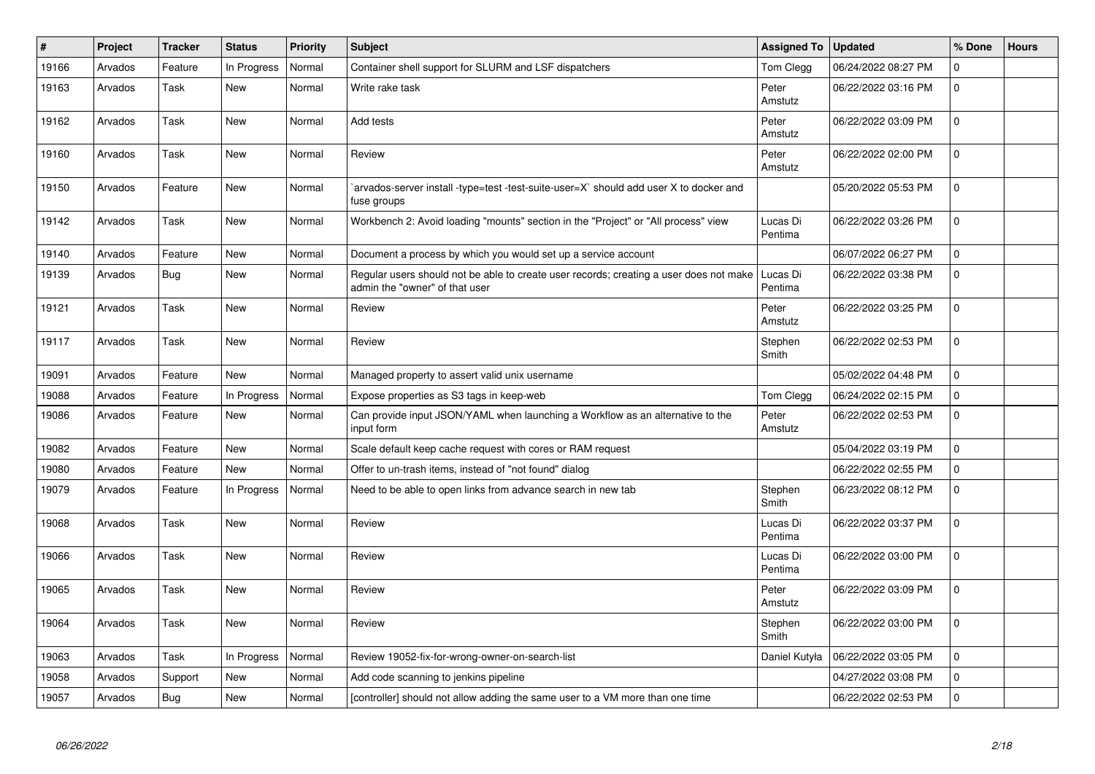| #     | Project | <b>Tracker</b> | <b>Status</b> | <b>Priority</b> | Subject                                                                                                                  | <b>Assigned To</b>  | <b>Updated</b>      | % Done      | <b>Hours</b> |
|-------|---------|----------------|---------------|-----------------|--------------------------------------------------------------------------------------------------------------------------|---------------------|---------------------|-------------|--------------|
| 19166 | Arvados | Feature        | In Progress   | Normal          | Container shell support for SLURM and LSF dispatchers                                                                    | Tom Clegg           | 06/24/2022 08:27 PM | $\mathbf 0$ |              |
| 19163 | Arvados | Task           | <b>New</b>    | Normal          | Write rake task                                                                                                          | Peter<br>Amstutz    | 06/22/2022 03:16 PM | 0           |              |
| 19162 | Arvados | Task           | <b>New</b>    | Normal          | Add tests                                                                                                                | Peter<br>Amstutz    | 06/22/2022 03:09 PM | $\mathbf 0$ |              |
| 19160 | Arvados | Task           | <b>New</b>    | Normal          | Review                                                                                                                   | Peter<br>Amstutz    | 06/22/2022 02:00 PM | $\mathbf 0$ |              |
| 19150 | Arvados | Feature        | <b>New</b>    | Normal          | arvados-server install -type=test -test-suite-user=X` should add user X to docker and<br>fuse groups                     |                     | 05/20/2022 05:53 PM | $\mathbf 0$ |              |
| 19142 | Arvados | Task           | <b>New</b>    | Normal          | Workbench 2: Avoid loading "mounts" section in the "Project" or "All process" view                                       | Lucas Di<br>Pentima | 06/22/2022 03:26 PM | $\mathbf 0$ |              |
| 19140 | Arvados | Feature        | <b>New</b>    | Normal          | Document a process by which you would set up a service account                                                           |                     | 06/07/2022 06:27 PM | $\mathsf 0$ |              |
| 19139 | Arvados | Bug            | New           | Normal          | Regular users should not be able to create user records; creating a user does not make<br>admin the "owner" of that user | Lucas Di<br>Pentima | 06/22/2022 03:38 PM | $\mathbf 0$ |              |
| 19121 | Arvados | Task           | <b>New</b>    | Normal          | Review                                                                                                                   | Peter<br>Amstutz    | 06/22/2022 03:25 PM | $\mathbf 0$ |              |
| 19117 | Arvados | Task           | <b>New</b>    | Normal          | Review                                                                                                                   | Stephen<br>Smith    | 06/22/2022 02:53 PM | $\mathbf 0$ |              |
| 19091 | Arvados | Feature        | <b>New</b>    | Normal          | Managed property to assert valid unix username                                                                           |                     | 05/02/2022 04:48 PM | $\mathsf 0$ |              |
| 19088 | Arvados | Feature        | In Progress   | Normal          | Expose properties as S3 tags in keep-web                                                                                 | Tom Clegg           | 06/24/2022 02:15 PM | $\mathbf 0$ |              |
| 19086 | Arvados | Feature        | New           | Normal          | Can provide input JSON/YAML when launching a Workflow as an alternative to the<br>input form                             | Peter<br>Amstutz    | 06/22/2022 02:53 PM | $\pmb{0}$   |              |
| 19082 | Arvados | Feature        | <b>New</b>    | Normal          | Scale default keep cache request with cores or RAM request                                                               |                     | 05/04/2022 03:19 PM | $\mathbf 0$ |              |
| 19080 | Arvados | Feature        | <b>New</b>    | Normal          | Offer to un-trash items, instead of "not found" dialog                                                                   |                     | 06/22/2022 02:55 PM | $\mathsf 0$ |              |
| 19079 | Arvados | Feature        | In Progress   | Normal          | Need to be able to open links from advance search in new tab                                                             | Stephen<br>Smith    | 06/23/2022 08:12 PM | $\mathbf 0$ |              |
| 19068 | Arvados | Task           | <b>New</b>    | Normal          | Review                                                                                                                   | Lucas Di<br>Pentima | 06/22/2022 03:37 PM | $\mathbf 0$ |              |
| 19066 | Arvados | Task           | <b>New</b>    | Normal          | Review                                                                                                                   | Lucas Di<br>Pentima | 06/22/2022 03:00 PM | $\mathbf 0$ |              |
| 19065 | Arvados | Task           | <b>New</b>    | Normal          | Review                                                                                                                   | Peter<br>Amstutz    | 06/22/2022 03:09 PM | $\mathbf 0$ |              |
| 19064 | Arvados | Task           | <b>New</b>    | Normal          | Review                                                                                                                   | Stephen<br>Smith    | 06/22/2022 03:00 PM | $\Omega$    |              |
| 19063 | Arvados | Task           | In Progress   | Normal          | Review 19052-fix-for-wrong-owner-on-search-list                                                                          | Daniel Kutyła       | 06/22/2022 03:05 PM | $\mathbf 0$ |              |
| 19058 | Arvados | Support        | <b>New</b>    | Normal          | Add code scanning to jenkins pipeline                                                                                    |                     | 04/27/2022 03:08 PM | $\mathsf 0$ |              |
| 19057 | Arvados | Bug            | <b>New</b>    | Normal          | [controller] should not allow adding the same user to a VM more than one time                                            |                     | 06/22/2022 02:53 PM | $\mathbf 0$ |              |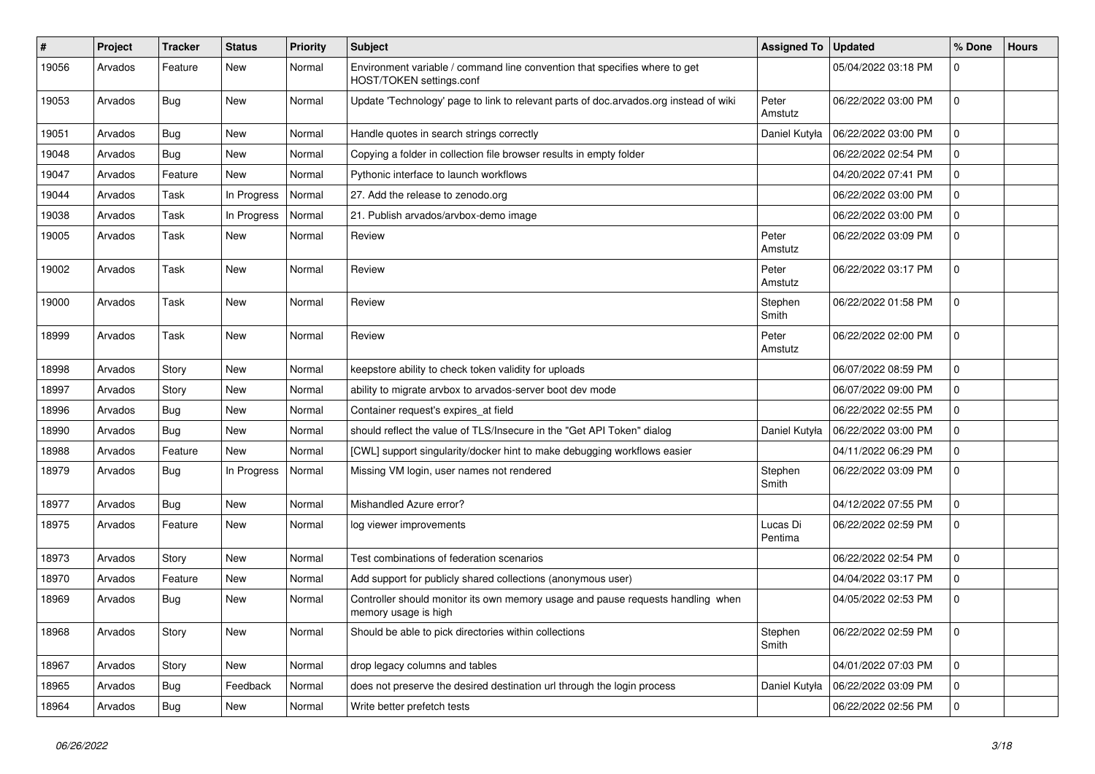| $\#$  | Project | <b>Tracker</b> | <b>Status</b> | <b>Priority</b> | <b>Subject</b>                                                                                          | <b>Assigned To</b>  | <b>Updated</b>      | % Done              | <b>Hours</b> |
|-------|---------|----------------|---------------|-----------------|---------------------------------------------------------------------------------------------------------|---------------------|---------------------|---------------------|--------------|
| 19056 | Arvados | Feature        | <b>New</b>    | Normal          | Environment variable / command line convention that specifies where to get<br>HOST/TOKEN settings.conf  |                     | 05/04/2022 03:18 PM | $\mathbf 0$         |              |
| 19053 | Arvados | Bug            | New           | Normal          | Update 'Technology' page to link to relevant parts of doc.arvados.org instead of wiki                   | Peter<br>Amstutz    | 06/22/2022 03:00 PM | $\mathbf{0}$        |              |
| 19051 | Arvados | Bug            | New           | Normal          | Handle quotes in search strings correctly                                                               | Daniel Kutyła       | 06/22/2022 03:00 PM | $\mathbf 0$         |              |
| 19048 | Arvados | <b>Bug</b>     | <b>New</b>    | Normal          | Copying a folder in collection file browser results in empty folder                                     |                     | 06/22/2022 02:54 PM | $\mathbf 0$         |              |
| 19047 | Arvados | Feature        | New           | Normal          | Pythonic interface to launch workflows                                                                  |                     | 04/20/2022 07:41 PM | $\Omega$            |              |
| 19044 | Arvados | Task           | In Progress   | Normal          | 27. Add the release to zenodo.org                                                                       |                     | 06/22/2022 03:00 PM | $\Omega$            |              |
| 19038 | Arvados | Task           | In Progress   | Normal          | 21. Publish arvados/arvbox-demo image                                                                   |                     | 06/22/2022 03:00 PM | 0                   |              |
| 19005 | Arvados | Task           | New           | Normal          | Review                                                                                                  | Peter<br>Amstutz    | 06/22/2022 03:09 PM | $\Omega$            |              |
| 19002 | Arvados | Task           | New           | Normal          | Review                                                                                                  | Peter<br>Amstutz    | 06/22/2022 03:17 PM | $\mathbf 0$         |              |
| 19000 | Arvados | Task           | <b>New</b>    | Normal          | Review                                                                                                  | Stephen<br>Smith    | 06/22/2022 01:58 PM | $\mathbf 0$         |              |
| 18999 | Arvados | Task           | <b>New</b>    | Normal          | Review                                                                                                  | Peter<br>Amstutz    | 06/22/2022 02:00 PM | $\mathbf 0$         |              |
| 18998 | Arvados | Story          | <b>New</b>    | Normal          | keepstore ability to check token validity for uploads                                                   |                     | 06/07/2022 08:59 PM | $\mathsf{O}\xspace$ |              |
| 18997 | Arvados | Story          | <b>New</b>    | Normal          | ability to migrate arvbox to arvados-server boot dev mode                                               |                     | 06/07/2022 09:00 PM | $\mathbf 0$         |              |
| 18996 | Arvados | Bug            | New           | Normal          | Container request's expires_at field                                                                    |                     | 06/22/2022 02:55 PM | $\Omega$            |              |
| 18990 | Arvados | <b>Bug</b>     | <b>New</b>    | Normal          | should reflect the value of TLS/Insecure in the "Get API Token" dialog                                  | Daniel Kutyła       | 06/22/2022 03:00 PM | $\mathbf 0$         |              |
| 18988 | Arvados | Feature        | <b>New</b>    | Normal          | [CWL] support singularity/docker hint to make debugging workflows easier                                |                     | 04/11/2022 06:29 PM | 0                   |              |
| 18979 | Arvados | <b>Bug</b>     | In Progress   | Normal          | Missing VM login, user names not rendered                                                               | Stephen<br>Smith    | 06/22/2022 03:09 PM | 0                   |              |
| 18977 | Arvados | Bug            | <b>New</b>    | Normal          | Mishandled Azure error?                                                                                 |                     | 04/12/2022 07:55 PM | $\mathbf 0$         |              |
| 18975 | Arvados | Feature        | <b>New</b>    | Normal          | log viewer improvements                                                                                 | Lucas Di<br>Pentima | 06/22/2022 02:59 PM | $\mathbf 0$         |              |
| 18973 | Arvados | Story          | <b>New</b>    | Normal          | Test combinations of federation scenarios                                                               |                     | 06/22/2022 02:54 PM | 0                   |              |
| 18970 | Arvados | Feature        | <b>New</b>    | Normal          | Add support for publicly shared collections (anonymous user)                                            |                     | 04/04/2022 03:17 PM | 0                   |              |
| 18969 | Arvados | <b>Bug</b>     | New           | Normal          | Controller should monitor its own memory usage and pause requests handling when<br>memory usage is high |                     | 04/05/2022 02:53 PM | $\Omega$            |              |
| 18968 | Arvados | Story          | <b>New</b>    | Normal          | Should be able to pick directories within collections                                                   | Stephen<br>Smith    | 06/22/2022 02:59 PM | $\mathbf 0$         |              |
| 18967 | Arvados | Story          | <b>New</b>    | Normal          | drop legacy columns and tables                                                                          |                     | 04/01/2022 07:03 PM | $\mathbf 0$         |              |
| 18965 | Arvados | <b>Bug</b>     | Feedback      | Normal          | does not preserve the desired destination url through the login process                                 | Daniel Kutyła       | 06/22/2022 03:09 PM | $\mathbf 0$         |              |
| 18964 | Arvados | Bug            | <b>New</b>    | Normal          | Write better prefetch tests                                                                             |                     | 06/22/2022 02:56 PM | $\mathbf 0$         |              |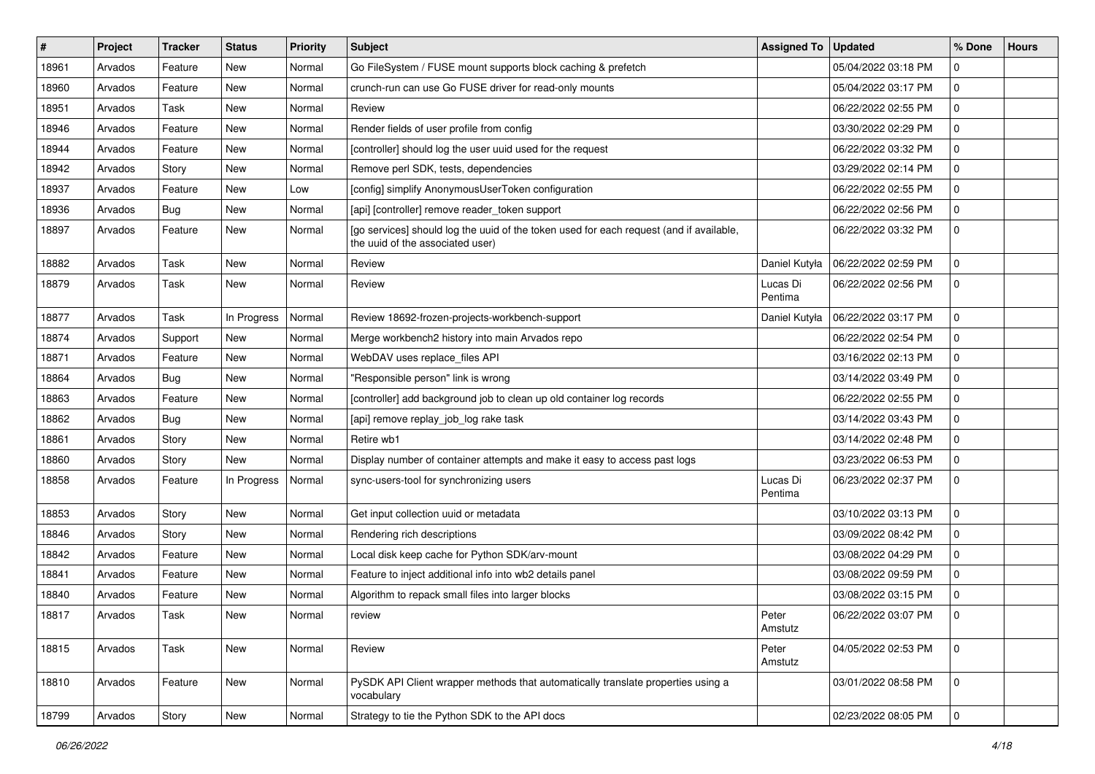| $\vert$ # | Project | <b>Tracker</b> | <b>Status</b> | <b>Priority</b> | <b>Subject</b>                                                                                                              | <b>Assigned To</b>  | <b>Updated</b>      | % Done              | <b>Hours</b> |
|-----------|---------|----------------|---------------|-----------------|-----------------------------------------------------------------------------------------------------------------------------|---------------------|---------------------|---------------------|--------------|
| 18961     | Arvados | Feature        | New           | Normal          | Go FileSystem / FUSE mount supports block caching & prefetch                                                                |                     | 05/04/2022 03:18 PM | 0                   |              |
| 18960     | Arvados | Feature        | New           | Normal          | crunch-run can use Go FUSE driver for read-only mounts                                                                      |                     | 05/04/2022 03:17 PM | $\mathbf 0$         |              |
| 18951     | Arvados | Task           | New           | Normal          | Review                                                                                                                      |                     | 06/22/2022 02:55 PM | 0                   |              |
| 18946     | Arvados | Feature        | New           | Normal          | Render fields of user profile from config                                                                                   |                     | 03/30/2022 02:29 PM | $\mathbf 0$         |              |
| 18944     | Arvados | Feature        | <b>New</b>    | Normal          | [controller] should log the user uuid used for the request                                                                  |                     | 06/22/2022 03:32 PM | 0                   |              |
| 18942     | Arvados | Story          | New           | Normal          | Remove perl SDK, tests, dependencies                                                                                        |                     | 03/29/2022 02:14 PM | 0                   |              |
| 18937     | Arvados | Feature        | New           | Low             | [config] simplify AnonymousUserToken configuration                                                                          |                     | 06/22/2022 02:55 PM | $\mathbf 0$         |              |
| 18936     | Arvados | Bug            | New           | Normal          | [api] [controller] remove reader_token support                                                                              |                     | 06/22/2022 02:56 PM | 0                   |              |
| 18897     | Arvados | Feature        | New           | Normal          | [go services] should log the uuid of the token used for each request (and if available,<br>the uuid of the associated user) |                     | 06/22/2022 03:32 PM | $\mathbf 0$         |              |
| 18882     | Arvados | Task           | New           | Normal          | Review                                                                                                                      | Daniel Kutyła       | 06/22/2022 02:59 PM | 0                   |              |
| 18879     | Arvados | Task           | New           | Normal          | Review                                                                                                                      | Lucas Di<br>Pentima | 06/22/2022 02:56 PM | $\mathbf 0$         |              |
| 18877     | Arvados | Task           | In Progress   | Normal          | Review 18692-frozen-projects-workbench-support                                                                              | Daniel Kutyła       | 06/22/2022 03:17 PM | 0                   |              |
| 18874     | Arvados | Support        | <b>New</b>    | Normal          | Merge workbench2 history into main Arvados repo                                                                             |                     | 06/22/2022 02:54 PM | $\mathbf 0$         |              |
| 18871     | Arvados | Feature        | New           | Normal          | WebDAV uses replace_files API                                                                                               |                     | 03/16/2022 02:13 PM | 0                   |              |
| 18864     | Arvados | Bug            | New           | Normal          | "Responsible person" link is wrong                                                                                          |                     | 03/14/2022 03:49 PM | $\mathbf 0$         |              |
| 18863     | Arvados | Feature        | <b>New</b>    | Normal          | [controller] add background job to clean up old container log records                                                       |                     | 06/22/2022 02:55 PM | 0                   |              |
| 18862     | Arvados | Bug            | New           | Normal          | [api] remove replay_job_log rake task                                                                                       |                     | 03/14/2022 03:43 PM | 0                   |              |
| 18861     | Arvados | Story          | New           | Normal          | Retire wb1                                                                                                                  |                     | 03/14/2022 02:48 PM | 0                   |              |
| 18860     | Arvados | Story          | New           | Normal          | Display number of container attempts and make it easy to access past logs                                                   |                     | 03/23/2022 06:53 PM | 0                   |              |
| 18858     | Arvados | Feature        | In Progress   | Normal          | sync-users-tool for synchronizing users                                                                                     | Lucas Di<br>Pentima | 06/23/2022 02:37 PM | $\mathbf 0$         |              |
| 18853     | Arvados | Story          | New           | Normal          | Get input collection uuid or metadata                                                                                       |                     | 03/10/2022 03:13 PM | 0                   |              |
| 18846     | Arvados | Story          | New           | Normal          | Rendering rich descriptions                                                                                                 |                     | 03/09/2022 08:42 PM | $\mathbf 0$         |              |
| 18842     | Arvados | Feature        | <b>New</b>    | Normal          | Local disk keep cache for Python SDK/arv-mount                                                                              |                     | 03/08/2022 04:29 PM | 0                   |              |
| 18841     | Arvados | Feature        | New           | Normal          | Feature to inject additional info into wb2 details panel                                                                    |                     | 03/08/2022 09:59 PM | $\mathbf 0$         |              |
| 18840     | Arvados | Feature        | <b>New</b>    | Normal          | Algorithm to repack small files into larger blocks                                                                          |                     | 03/08/2022 03:15 PM | 0                   |              |
| 18817     | Arvados | Task           | New           | Normal          | review                                                                                                                      | Peter<br>Amstutz    | 06/22/2022 03:07 PM | $\mathbf 0$         |              |
| 18815     | Arvados | Task           | New           | Normal          | Review                                                                                                                      | Peter<br>Amstutz    | 04/05/2022 02:53 PM | $\mathbf 0$         |              |
| 18810     | Arvados | Feature        | New           | Normal          | PySDK API Client wrapper methods that automatically translate properties using a<br>vocabulary                              |                     | 03/01/2022 08:58 PM | $\mathbf{0}$        |              |
| 18799     | Arvados | Story          | New           | Normal          | Strategy to tie the Python SDK to the API docs                                                                              |                     | 02/23/2022 08:05 PM | $\mathsf{O}\xspace$ |              |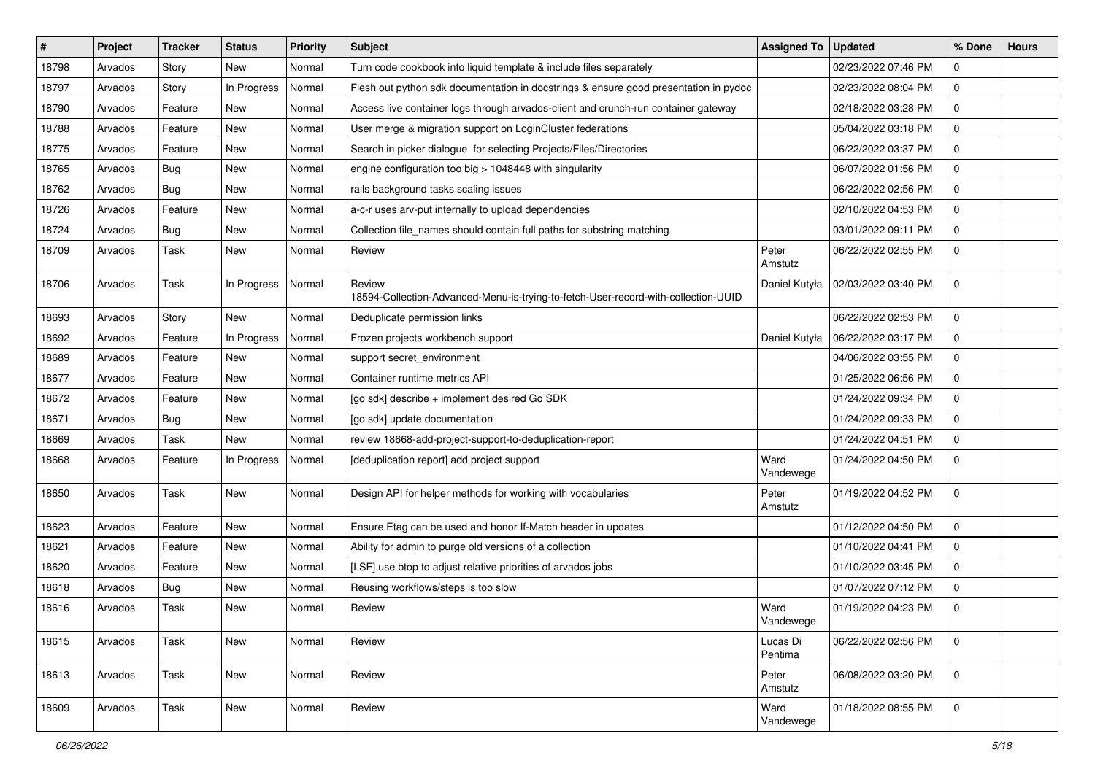| $\vert$ # | Project | <b>Tracker</b> | <b>Status</b> | <b>Priority</b> | Subject                                                                                      | <b>Assigned To</b>  | <b>Updated</b>      | % Done      | <b>Hours</b> |
|-----------|---------|----------------|---------------|-----------------|----------------------------------------------------------------------------------------------|---------------------|---------------------|-------------|--------------|
| 18798     | Arvados | Story          | New           | Normal          | Turn code cookbook into liquid template & include files separately                           |                     | 02/23/2022 07:46 PM | $\mathbf 0$ |              |
| 18797     | Arvados | Story          | In Progress   | Normal          | Flesh out python sdk documentation in docstrings & ensure good presentation in pydoc         |                     | 02/23/2022 08:04 PM | $\Omega$    |              |
| 18790     | Arvados | Feature        | New           | Normal          | Access live container logs through arvados-client and crunch-run container gateway           |                     | 02/18/2022 03:28 PM | $\mathbf 0$ |              |
| 18788     | Arvados | Feature        | <b>New</b>    | Normal          | User merge & migration support on LoginCluster federations                                   |                     | 05/04/2022 03:18 PM | $\mathbf 0$ |              |
| 18775     | Arvados | Feature        | <b>New</b>    | Normal          | Search in picker dialogue for selecting Projects/Files/Directories                           |                     | 06/22/2022 03:37 PM | 0           |              |
| 18765     | Arvados | Bug            | <b>New</b>    | Normal          | engine configuration too big > 1048448 with singularity                                      |                     | 06/07/2022 01:56 PM | $\mathbf 0$ |              |
| 18762     | Arvados | Bug            | <b>New</b>    | Normal          | rails background tasks scaling issues                                                        |                     | 06/22/2022 02:56 PM | $\Omega$    |              |
| 18726     | Arvados | Feature        | <b>New</b>    | Normal          | a-c-r uses arv-put internally to upload dependencies                                         |                     | 02/10/2022 04:53 PM | $\mathbf 0$ |              |
| 18724     | Arvados | Bug            | <b>New</b>    | Normal          | Collection file_names should contain full paths for substring matching                       |                     | 03/01/2022 09:11 PM | $\Omega$    |              |
| 18709     | Arvados | Task           | <b>New</b>    | Normal          | Review                                                                                       | Peter<br>Amstutz    | 06/22/2022 02:55 PM | $\mathbf 0$ |              |
| 18706     | Arvados | Task           | In Progress   | Normal          | Review<br>18594-Collection-Advanced-Menu-is-trying-to-fetch-User-record-with-collection-UUID | Daniel Kutyła       | 02/03/2022 03:40 PM | $\mathbf 0$ |              |
| 18693     | Arvados | Story          | New           | Normal          | Deduplicate permission links                                                                 |                     | 06/22/2022 02:53 PM | $\mathbf 0$ |              |
| 18692     | Arvados | Feature        | In Progress   | Normal          | Frozen projects workbench support                                                            | Daniel Kutyła       | 06/22/2022 03:17 PM | $\Omega$    |              |
| 18689     | Arvados | Feature        | <b>New</b>    | Normal          | support secret_environment                                                                   |                     | 04/06/2022 03:55 PM | 0           |              |
| 18677     | Arvados | Feature        | <b>New</b>    | Normal          | Container runtime metrics API                                                                |                     | 01/25/2022 06:56 PM | $\Omega$    |              |
| 18672     | Arvados | Feature        | <b>New</b>    | Normal          | [go sdk] describe + implement desired Go SDK                                                 |                     | 01/24/2022 09:34 PM | $\mathbf 0$ |              |
| 18671     | Arvados | Bug            | <b>New</b>    | Normal          | [go sdk] update documentation                                                                |                     | 01/24/2022 09:33 PM | 0           |              |
| 18669     | Arvados | Task           | <b>New</b>    | Normal          | review 18668-add-project-support-to-deduplication-report                                     |                     | 01/24/2022 04:51 PM | $\mathbf 0$ |              |
| 18668     | Arvados | Feature        | In Progress   | Normal          | [deduplication report] add project support                                                   | Ward<br>Vandewege   | 01/24/2022 04:50 PM | $\Omega$    |              |
| 18650     | Arvados | Task           | <b>New</b>    | Normal          | Design API for helper methods for working with vocabularies                                  | Peter<br>Amstutz    | 01/19/2022 04:52 PM | $\mathbf 0$ |              |
| 18623     | Arvados | Feature        | <b>New</b>    | Normal          | Ensure Etag can be used and honor If-Match header in updates                                 |                     | 01/12/2022 04:50 PM | 0           |              |
| 18621     | Arvados | Feature        | <b>New</b>    | Normal          | Ability for admin to purge old versions of a collection                                      |                     | 01/10/2022 04:41 PM | $\mathbf 0$ |              |
| 18620     | Arvados | Feature        | <b>New</b>    | Normal          | [LSF] use btop to adjust relative priorities of arvados jobs                                 |                     | 01/10/2022 03:45 PM | 0           |              |
| 18618     | Arvados | Bug            | New           | Normal          | Reusing workflows/steps is too slow                                                          |                     | 01/07/2022 07:12 PM | 0           |              |
| 18616     | Arvados | Task           | <b>New</b>    | Normal          | Review                                                                                       | Ward<br>Vandewege   | 01/19/2022 04:23 PM | $\Omega$    |              |
| 18615     | Arvados | Task           | <b>New</b>    | Normal          | Review                                                                                       | Lucas Di<br>Pentima | 06/22/2022 02:56 PM | 0           |              |
| 18613     | Arvados | Task           | <b>New</b>    | Normal          | Review                                                                                       | Peter<br>Amstutz    | 06/08/2022 03:20 PM | 0           |              |
| 18609     | Arvados | Task           | New           | Normal          | Review                                                                                       | Ward<br>Vandewege   | 01/18/2022 08:55 PM | 0           |              |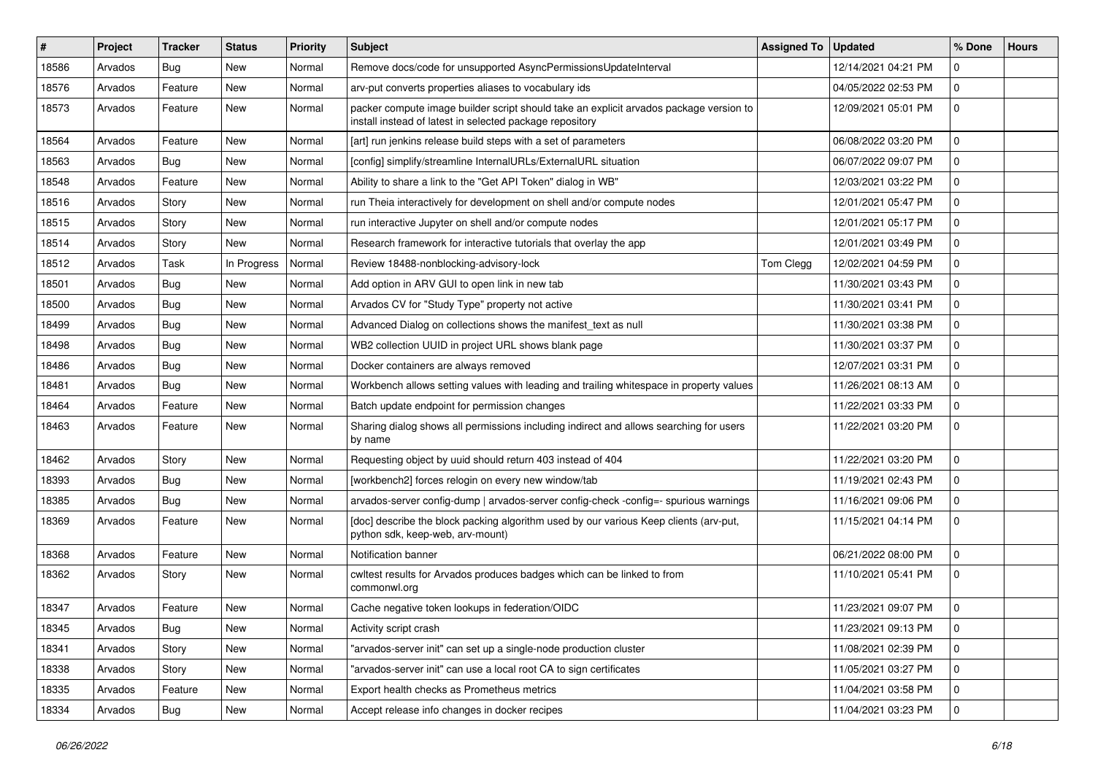| ∦     | Project | <b>Tracker</b> | <b>Status</b> | <b>Priority</b> | <b>Subject</b>                                                                                                                                     | <b>Assigned To</b> | <b>Updated</b>      | % Done      | <b>Hours</b> |
|-------|---------|----------------|---------------|-----------------|----------------------------------------------------------------------------------------------------------------------------------------------------|--------------------|---------------------|-------------|--------------|
| 18586 | Arvados | Bug            | <b>New</b>    | Normal          | Remove docs/code for unsupported AsyncPermissionsUpdateInterval                                                                                    |                    | 12/14/2021 04:21 PM | $\mathbf 0$ |              |
| 18576 | Arvados | Feature        | <b>New</b>    | Normal          | arv-put converts properties aliases to vocabulary ids                                                                                              |                    | 04/05/2022 02:53 PM | 0           |              |
| 18573 | Arvados | Feature        | New           | Normal          | packer compute image builder script should take an explicit arvados package version to<br>install instead of latest in selected package repository |                    | 12/09/2021 05:01 PM | $\mathbf 0$ |              |
| 18564 | Arvados | Feature        | <b>New</b>    | Normal          | [art] run jenkins release build steps with a set of parameters                                                                                     |                    | 06/08/2022 03:20 PM | $\mathbf 0$ |              |
| 18563 | Arvados | Bug            | New           | Normal          | [config] simplify/streamline InternalURLs/ExternalURL situation                                                                                    |                    | 06/07/2022 09:07 PM | 0           |              |
| 18548 | Arvados | Feature        | <b>New</b>    | Normal          | Ability to share a link to the "Get API Token" dialog in WB"                                                                                       |                    | 12/03/2021 03:22 PM | $\mathbf 0$ |              |
| 18516 | Arvados | Story          | New           | Normal          | run Theia interactively for development on shell and/or compute nodes                                                                              |                    | 12/01/2021 05:47 PM | 0           |              |
| 18515 | Arvados | Story          | New           | Normal          | run interactive Jupyter on shell and/or compute nodes                                                                                              |                    | 12/01/2021 05:17 PM | $\mathbf 0$ |              |
| 18514 | Arvados | Story          | New           | Normal          | Research framework for interactive tutorials that overlay the app                                                                                  |                    | 12/01/2021 03:49 PM | 0           |              |
| 18512 | Arvados | Task           | In Progress   | Normal          | Review 18488-nonblocking-advisory-lock                                                                                                             | Tom Clegg          | 12/02/2021 04:59 PM | $\mathbf 0$ |              |
| 18501 | Arvados | Bug            | New           | Normal          | Add option in ARV GUI to open link in new tab                                                                                                      |                    | 11/30/2021 03:43 PM | $\mathbf 0$ |              |
| 18500 | Arvados | <b>Bug</b>     | New           | Normal          | Arvados CV for "Study Type" property not active                                                                                                    |                    | 11/30/2021 03:41 PM | $\mathbf 0$ |              |
| 18499 | Arvados | <b>Bug</b>     | New           | Normal          | Advanced Dialog on collections shows the manifest_text as null                                                                                     |                    | 11/30/2021 03:38 PM | $\mathbf 0$ |              |
| 18498 | Arvados | Bug            | New           | Normal          | WB2 collection UUID in project URL shows blank page                                                                                                |                    | 11/30/2021 03:37 PM | $\mathbf 0$ |              |
| 18486 | Arvados | Bug            | New           | Normal          | Docker containers are always removed                                                                                                               |                    | 12/07/2021 03:31 PM | $\mathbf 0$ |              |
| 18481 | Arvados | Bug            | New           | Normal          | Workbench allows setting values with leading and trailing whitespace in property values                                                            |                    | 11/26/2021 08:13 AM | $\mathbf 0$ |              |
| 18464 | Arvados | Feature        | <b>New</b>    | Normal          | Batch update endpoint for permission changes                                                                                                       |                    | 11/22/2021 03:33 PM | $\mathbf 0$ |              |
| 18463 | Arvados | Feature        | New           | Normal          | Sharing dialog shows all permissions including indirect and allows searching for users<br>by name                                                  |                    | 11/22/2021 03:20 PM | 0           |              |
| 18462 | Arvados | Story          | New           | Normal          | Requesting object by uuid should return 403 instead of 404                                                                                         |                    | 11/22/2021 03:20 PM | 0           |              |
| 18393 | Arvados | <b>Bug</b>     | <b>New</b>    | Normal          | [workbench2] forces relogin on every new window/tab                                                                                                |                    | 11/19/2021 02:43 PM | $\mathbf 0$ |              |
| 18385 | Arvados | Bug            | <b>New</b>    | Normal          | arvados-server config-dump   arvados-server config-check -config=- spurious warnings                                                               |                    | 11/16/2021 09:06 PM | 0           |              |
| 18369 | Arvados | Feature        | New           | Normal          | [doc] describe the block packing algorithm used by our various Keep clients (arv-put,<br>python sdk, keep-web, arv-mount)                          |                    | 11/15/2021 04:14 PM | $\mathbf 0$ |              |
| 18368 | Arvados | Feature        | <b>New</b>    | Normal          | Notification banner                                                                                                                                |                    | 06/21/2022 08:00 PM | 0           |              |
| 18362 | Arvados | Story          | New           | Normal          | cwltest results for Arvados produces badges which can be linked to from<br>commonwl.org                                                            |                    | 11/10/2021 05:41 PM | $\mathbf 0$ |              |
| 18347 | Arvados | Feature        | New           | Normal          | Cache negative token lookups in federation/OIDC                                                                                                    |                    | 11/23/2021 09:07 PM | 0           |              |
| 18345 | Arvados | <b>Bug</b>     | New           | Normal          | Activity script crash                                                                                                                              |                    | 11/23/2021 09:13 PM | $\mathbf 0$ |              |
| 18341 | Arvados | Story          | New           | Normal          | "arvados-server init" can set up a single-node production cluster                                                                                  |                    | 11/08/2021 02:39 PM | 0           |              |
| 18338 | Arvados | Story          | New           | Normal          | "arvados-server init" can use a local root CA to sign certificates                                                                                 |                    | 11/05/2021 03:27 PM | 0           |              |
| 18335 | Arvados | Feature        | New           | Normal          | Export health checks as Prometheus metrics                                                                                                         |                    | 11/04/2021 03:58 PM | 0           |              |
| 18334 | Arvados | Bug            | New           | Normal          | Accept release info changes in docker recipes                                                                                                      |                    | 11/04/2021 03:23 PM | $\mathbf 0$ |              |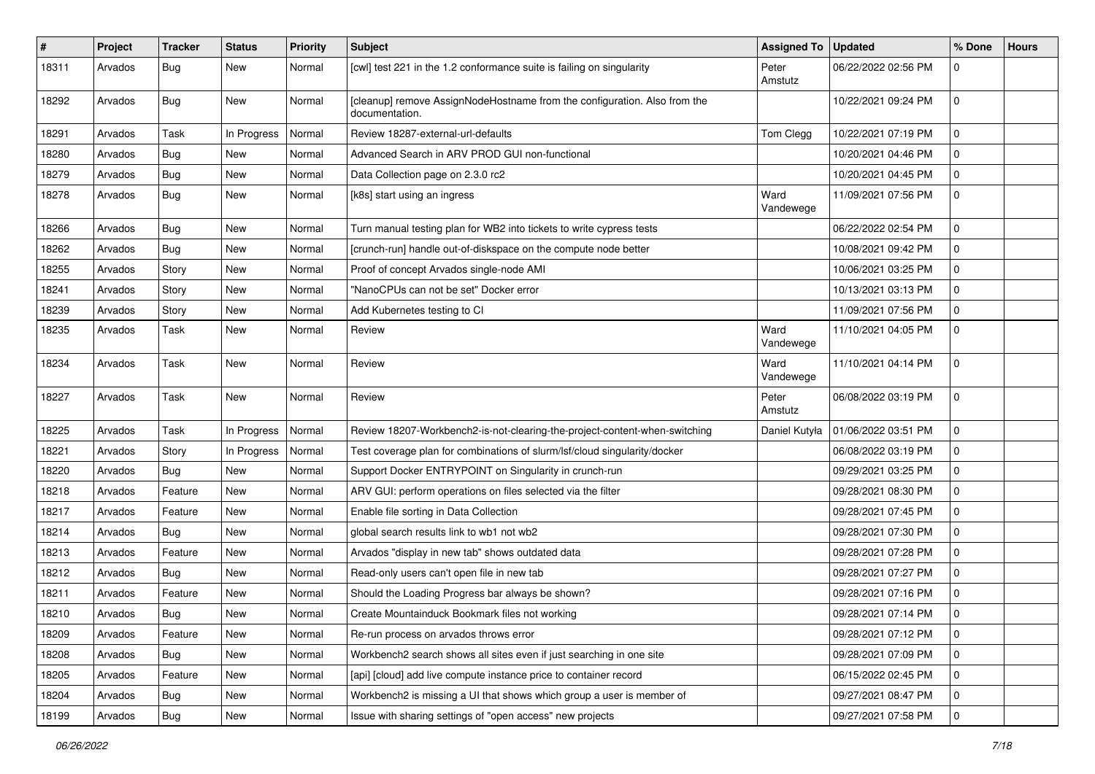| #     | Project | <b>Tracker</b> | <b>Status</b> | <b>Priority</b> | <b>Subject</b>                                                                              | <b>Assigned To</b> | <b>Updated</b>      | % Done              | <b>Hours</b> |
|-------|---------|----------------|---------------|-----------------|---------------------------------------------------------------------------------------------|--------------------|---------------------|---------------------|--------------|
| 18311 | Arvados | Bug            | New           | Normal          | [cwl] test 221 in the 1.2 conformance suite is failing on singularity                       | Peter<br>Amstutz   | 06/22/2022 02:56 PM | $\mathbf 0$         |              |
| 18292 | Arvados | <b>Bug</b>     | New           | Normal          | [cleanup] remove AssignNodeHostname from the configuration. Also from the<br>documentation. |                    | 10/22/2021 09:24 PM | $\mathbf 0$         |              |
| 18291 | Arvados | Task           | In Progress   | Normal          | Review 18287-external-url-defaults                                                          | Tom Clegg          | 10/22/2021 07:19 PM | 0                   |              |
| 18280 | Arvados | <b>Bug</b>     | New           | Normal          | Advanced Search in ARV PROD GUI non-functional                                              |                    | 10/20/2021 04:46 PM | 0                   |              |
| 18279 | Arvados | <b>Bug</b>     | New           | Normal          | Data Collection page on 2.3.0 rc2                                                           |                    | 10/20/2021 04:45 PM | $\mathsf{O}\xspace$ |              |
| 18278 | Arvados | <b>Bug</b>     | New           | Normal          | [k8s] start using an ingress                                                                | Ward<br>Vandewege  | 11/09/2021 07:56 PM | $\mathbf 0$         |              |
| 18266 | Arvados | <b>Bug</b>     | New           | Normal          | Turn manual testing plan for WB2 into tickets to write cypress tests                        |                    | 06/22/2022 02:54 PM | $\mathbf 0$         |              |
| 18262 | Arvados | Bug            | New           | Normal          | [crunch-run] handle out-of-diskspace on the compute node better                             |                    | 10/08/2021 09:42 PM | $\mathbf 0$         |              |
| 18255 | Arvados | Story          | New           | Normal          | Proof of concept Arvados single-node AMI                                                    |                    | 10/06/2021 03:25 PM | $\mathbf 0$         |              |
| 18241 | Arvados | Story          | New           | Normal          | "NanoCPUs can not be set" Docker error                                                      |                    | 10/13/2021 03:13 PM | 0                   |              |
| 18239 | Arvados | Story          | New           | Normal          | Add Kubernetes testing to CI                                                                |                    | 11/09/2021 07:56 PM | 0                   |              |
| 18235 | Arvados | Task           | New           | Normal          | Review                                                                                      | Ward<br>Vandewege  | 11/10/2021 04:05 PM | $\mathbf 0$         |              |
| 18234 | Arvados | Task           | New           | Normal          | Review                                                                                      | Ward<br>Vandewege  | 11/10/2021 04:14 PM | $\mathbf 0$         |              |
| 18227 | Arvados | Task           | New           | Normal          | Review                                                                                      | Peter<br>Amstutz   | 06/08/2022 03:19 PM | $\mathbf 0$         |              |
| 18225 | Arvados | Task           | In Progress   | Normal          | Review 18207-Workbench2-is-not-clearing-the-project-content-when-switching                  | Daniel Kutyła      | 01/06/2022 03:51 PM | 0                   |              |
| 18221 | Arvados | Story          | In Progress   | Normal          | Test coverage plan for combinations of slurm/lsf/cloud singularity/docker                   |                    | 06/08/2022 03:19 PM | 0                   |              |
| 18220 | Arvados | Bug            | New           | Normal          | Support Docker ENTRYPOINT on Singularity in crunch-run                                      |                    | 09/29/2021 03:25 PM | $\mathbf 0$         |              |
| 18218 | Arvados | Feature        | New           | Normal          | ARV GUI: perform operations on files selected via the filter                                |                    | 09/28/2021 08:30 PM | $\mathbf 0$         |              |
| 18217 | Arvados | Feature        | New           | Normal          | Enable file sorting in Data Collection                                                      |                    | 09/28/2021 07:45 PM | $\mathbf 0$         |              |
| 18214 | Arvados | <b>Bug</b>     | New           | Normal          | global search results link to wb1 not wb2                                                   |                    | 09/28/2021 07:30 PM | 0                   |              |
| 18213 | Arvados | Feature        | New           | Normal          | Arvados "display in new tab" shows outdated data                                            |                    | 09/28/2021 07:28 PM | $\mathbf 0$         |              |
| 18212 | Arvados | Bug            | New           | Normal          | Read-only users can't open file in new tab                                                  |                    | 09/28/2021 07:27 PM | $\mathbf 0$         |              |
| 18211 | Arvados | Feature        | New           | Normal          | Should the Loading Progress bar always be shown?                                            |                    | 09/28/2021 07:16 PM | 0                   |              |
| 18210 | Arvados | <b>Bug</b>     | New           | Normal          | Create Mountainduck Bookmark files not working                                              |                    | 09/28/2021 07:14 PM | $\mathbf 0$         |              |
| 18209 | Arvados | Feature        | New           | Normal          | Re-run process on arvados throws error                                                      |                    | 09/28/2021 07:12 PM | $\mathbf 0$         |              |
| 18208 | Arvados | <b>Bug</b>     | New           | Normal          | Workbench2 search shows all sites even if just searching in one site                        |                    | 09/28/2021 07:09 PM | $\mathbf 0$         |              |
| 18205 | Arvados | Feature        | New           | Normal          | [api] [cloud] add live compute instance price to container record                           |                    | 06/15/2022 02:45 PM | $\mathbf 0$         |              |
| 18204 | Arvados | <b>Bug</b>     | New           | Normal          | Workbench2 is missing a UI that shows which group a user is member of                       |                    | 09/27/2021 08:47 PM | $\mathbf 0$         |              |
| 18199 | Arvados | Bug            | New           | Normal          | Issue with sharing settings of "open access" new projects                                   |                    | 09/27/2021 07:58 PM | $\mathsf{O}\xspace$ |              |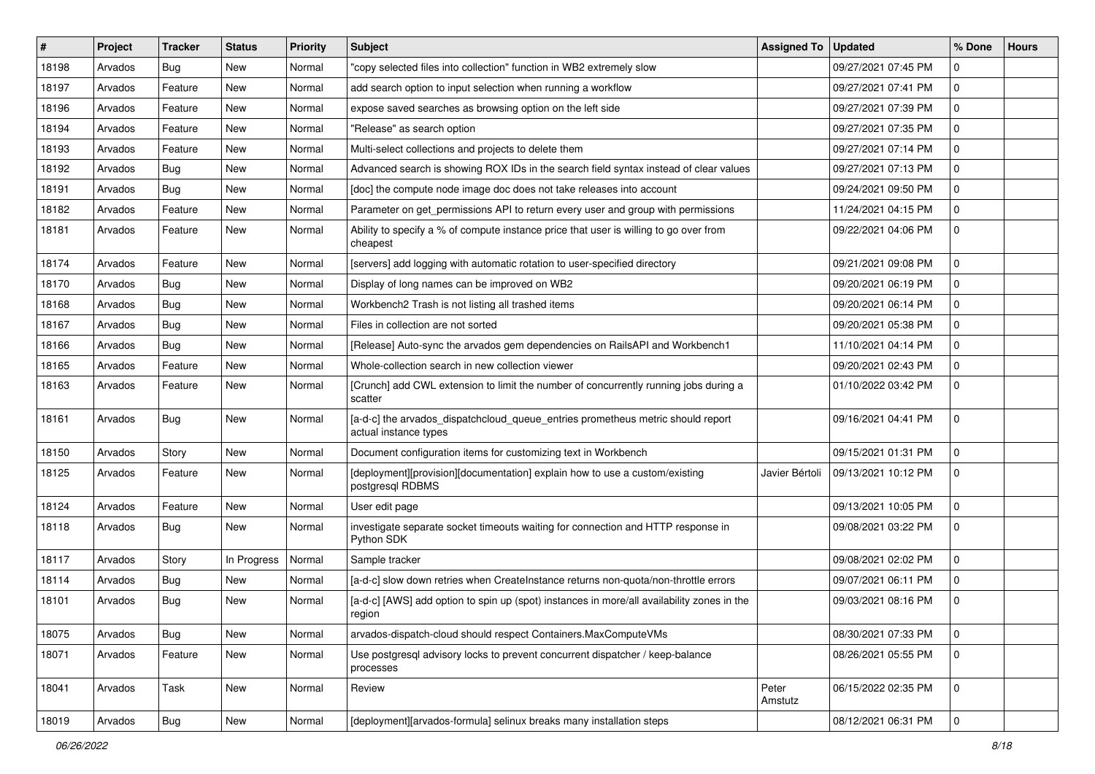| $\#$  | Project | <b>Tracker</b> | <b>Status</b> | <b>Priority</b> | Subject                                                                                                  | <b>Assigned To</b> | <b>Updated</b>      | % Done      | <b>Hours</b> |
|-------|---------|----------------|---------------|-----------------|----------------------------------------------------------------------------------------------------------|--------------------|---------------------|-------------|--------------|
| 18198 | Arvados | Bug            | New           | Normal          | "copy selected files into collection" function in WB2 extremely slow                                     |                    | 09/27/2021 07:45 PM | 0           |              |
| 18197 | Arvados | Feature        | <b>New</b>    | Normal          | add search option to input selection when running a workflow                                             |                    | 09/27/2021 07:41 PM | $\mathbf 0$ |              |
| 18196 | Arvados | Feature        | New           | Normal          | expose saved searches as browsing option on the left side                                                |                    | 09/27/2021 07:39 PM | $\mathbf 0$ |              |
| 18194 | Arvados | Feature        | New           | Normal          | "Release" as search option                                                                               |                    | 09/27/2021 07:35 PM | $\mathbf 0$ |              |
| 18193 | Arvados | Feature        | New           | Normal          | Multi-select collections and projects to delete them                                                     |                    | 09/27/2021 07:14 PM | $\mathbf 0$ |              |
| 18192 | Arvados | <b>Bug</b>     | New           | Normal          | Advanced search is showing ROX IDs in the search field syntax instead of clear values                    |                    | 09/27/2021 07:13 PM | 0           |              |
| 18191 | Arvados | <b>Bug</b>     | New           | Normal          | [doc] the compute node image doc does not take releases into account                                     |                    | 09/24/2021 09:50 PM | $\mathbf 0$ |              |
| 18182 | Arvados | Feature        | New           | Normal          | Parameter on get_permissions API to return every user and group with permissions                         |                    | 11/24/2021 04:15 PM | 0           |              |
| 18181 | Arvados | Feature        | New           | Normal          | Ability to specify a % of compute instance price that user is willing to go over from<br>cheapest        |                    | 09/22/2021 04:06 PM | $\mathbf 0$ |              |
| 18174 | Arvados | Feature        | New           | Normal          | [servers] add logging with automatic rotation to user-specified directory                                |                    | 09/21/2021 09:08 PM | $\mathbf 0$ |              |
| 18170 | Arvados | <b>Bug</b>     | New           | Normal          | Display of long names can be improved on WB2                                                             |                    | 09/20/2021 06:19 PM | $\mathbf 0$ |              |
| 18168 | Arvados | <b>Bug</b>     | New           | Normal          | Workbench2 Trash is not listing all trashed items                                                        |                    | 09/20/2021 06:14 PM | $\mathbf 0$ |              |
| 18167 | Arvados | <b>Bug</b>     | New           | Normal          | Files in collection are not sorted                                                                       |                    | 09/20/2021 05:38 PM | $\mathbf 0$ |              |
| 18166 | Arvados | <b>Bug</b>     | <b>New</b>    | Normal          | [Release] Auto-sync the arvados gem dependencies on RailsAPI and Workbench1                              |                    | 11/10/2021 04:14 PM | $\mathbf 0$ |              |
| 18165 | Arvados | Feature        | New           | Normal          | Whole-collection search in new collection viewer                                                         |                    | 09/20/2021 02:43 PM | 0           |              |
| 18163 | Arvados | Feature        | New           | Normal          | [Crunch] add CWL extension to limit the number of concurrently running jobs during a<br>scatter          |                    | 01/10/2022 03:42 PM | $\mathbf 0$ |              |
| 18161 | Arvados | Bug            | New           | Normal          | [a-d-c] the arvados_dispatchcloud_queue_entries prometheus metric should report<br>actual instance types |                    | 09/16/2021 04:41 PM | $\mathbf 0$ |              |
| 18150 | Arvados | Story          | <b>New</b>    | Normal          | Document configuration items for customizing text in Workbench                                           |                    | 09/15/2021 01:31 PM | $\mathbf 0$ |              |
| 18125 | Arvados | Feature        | New           | Normal          | [deployment][provision][documentation] explain how to use a custom/existing<br>postgresql RDBMS          | Javier Bértoli     | 09/13/2021 10:12 PM | $\mathbf 0$ |              |
| 18124 | Arvados | Feature        | New           | Normal          | User edit page                                                                                           |                    | 09/13/2021 10:05 PM | $\mathbf 0$ |              |
| 18118 | Arvados | Bug            | New           | Normal          | investigate separate socket timeouts waiting for connection and HTTP response in<br>Python SDK           |                    | 09/08/2021 03:22 PM | $\mathbf 0$ |              |
| 18117 | Arvados | Story          | In Progress   | Normal          | Sample tracker                                                                                           |                    | 09/08/2021 02:02 PM | $\mathbf 0$ |              |
| 18114 | Arvados | <b>Bug</b>     | New           | Normal          | [a-d-c] slow down retries when CreateInstance returns non-quota/non-throttle errors                      |                    | 09/07/2021 06:11 PM | $\mathbf 0$ |              |
| 18101 | Arvados | <b>Bug</b>     | <b>New</b>    | Normal          | [a-d-c] [AWS] add option to spin up (spot) instances in more/all availability zones in the<br>region     |                    | 09/03/2021 08:16 PM | $\mathbf 0$ |              |
| 18075 | Arvados | <b>Bug</b>     | New           | Normal          | arvados-dispatch-cloud should respect Containers.MaxComputeVMs                                           |                    | 08/30/2021 07:33 PM | $\mathbf 0$ |              |
| 18071 | Arvados | Feature        | New           | Normal          | Use postgresql advisory locks to prevent concurrent dispatcher / keep-balance<br>processes               |                    | 08/26/2021 05:55 PM | $\mathbf 0$ |              |
| 18041 | Arvados | Task           | New           | Normal          | Review                                                                                                   | Peter<br>Amstutz   | 06/15/2022 02:35 PM | $\mathbf 0$ |              |
| 18019 | Arvados | Bug            | New           | Normal          | [deployment][arvados-formula] selinux breaks many installation steps                                     |                    | 08/12/2021 06:31 PM | $\mathsf 0$ |              |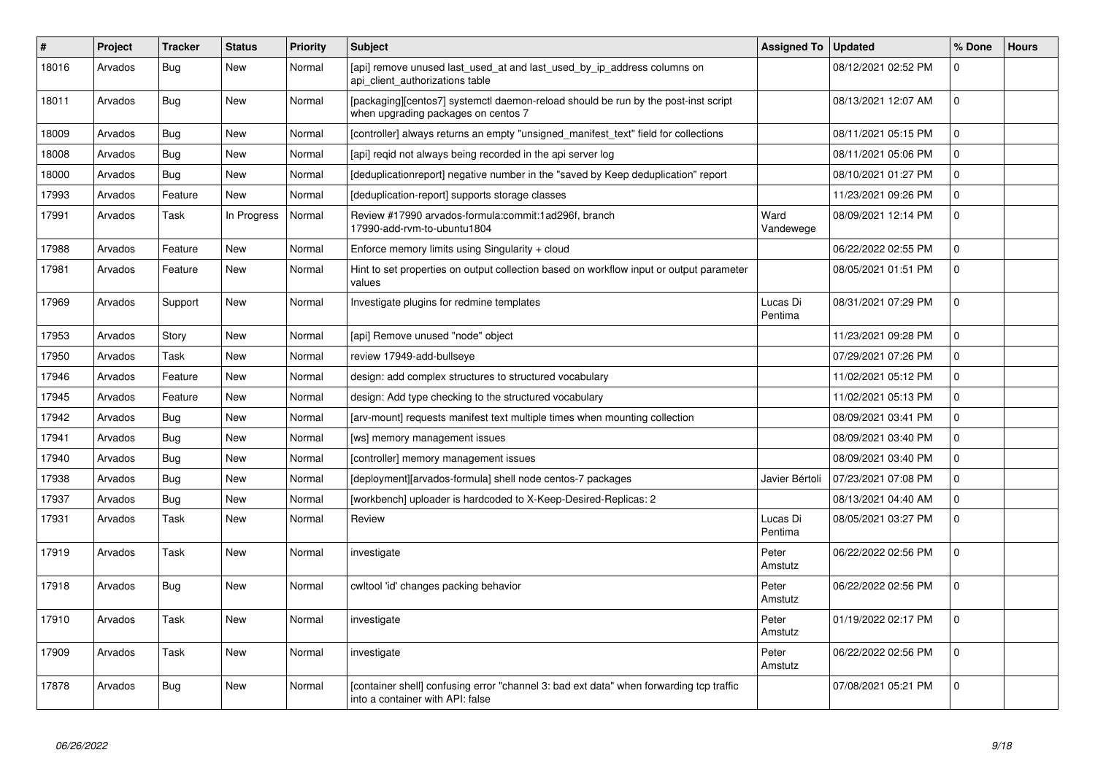| $\#$  | Project | <b>Tracker</b> | <b>Status</b> | <b>Priority</b> | <b>Subject</b>                                                                                                              | <b>Assigned To</b>  | <b>Updated</b>      | % Done      | <b>Hours</b> |
|-------|---------|----------------|---------------|-----------------|-----------------------------------------------------------------------------------------------------------------------------|---------------------|---------------------|-------------|--------------|
| 18016 | Arvados | <b>Bug</b>     | <b>New</b>    | Normal          | [api] remove unused last_used_at and last_used_by_ip_address columns on<br>api client authorizations table                  |                     | 08/12/2021 02:52 PM | $\Omega$    |              |
| 18011 | Arvados | <b>Bug</b>     | New           | Normal          | [packaging][centos7] systemctl daemon-reload should be run by the post-inst script<br>when upgrading packages on centos 7   |                     | 08/13/2021 12:07 AM | $\mathbf 0$ |              |
| 18009 | Arvados | <b>Bug</b>     | New           | Normal          | [controller] always returns an empty "unsigned_manifest_text" field for collections                                         |                     | 08/11/2021 05:15 PM | $\Omega$    |              |
| 18008 | Arvados | Bug            | New           | Normal          | [api] regid not always being recorded in the api server log                                                                 |                     | 08/11/2021 05:06 PM | $\mathbf 0$ |              |
| 18000 | Arvados | <b>Bug</b>     | <b>New</b>    | Normal          | [deduplicationreport] negative number in the "saved by Keep deduplication" report                                           |                     | 08/10/2021 01:27 PM | $\mathbf 0$ |              |
| 17993 | Arvados | Feature        | New           | Normal          | [deduplication-report] supports storage classes                                                                             |                     | 11/23/2021 09:26 PM | $\mathbf 0$ |              |
| 17991 | Arvados | Task           | In Progress   | Normal          | Review #17990 arvados-formula:commit:1ad296f, branch<br>17990-add-rvm-to-ubuntu1804                                         | Ward<br>Vandewege   | 08/09/2021 12:14 PM | $\Omega$    |              |
| 17988 | Arvados | Feature        | <b>New</b>    | Normal          | Enforce memory limits using Singularity + cloud                                                                             |                     | 06/22/2022 02:55 PM | $\mathbf 0$ |              |
| 17981 | Arvados | Feature        | <b>New</b>    | Normal          | Hint to set properties on output collection based on workflow input or output parameter<br>values                           |                     | 08/05/2021 01:51 PM | $\mathbf 0$ |              |
| 17969 | Arvados | Support        | New           | Normal          | Investigate plugins for redmine templates                                                                                   | Lucas Di<br>Pentima | 08/31/2021 07:29 PM | $\mathbf 0$ |              |
| 17953 | Arvados | Story          | New           | Normal          | [api] Remove unused "node" object                                                                                           |                     | 11/23/2021 09:28 PM | $\mathbf 0$ |              |
| 17950 | Arvados | Task           | <b>New</b>    | Normal          | review 17949-add-bullseye                                                                                                   |                     | 07/29/2021 07:26 PM | $\mathbf 0$ |              |
| 17946 | Arvados | Feature        | <b>New</b>    | Normal          | design: add complex structures to structured vocabulary                                                                     |                     | 11/02/2021 05:12 PM | $\mathbf 0$ |              |
| 17945 | Arvados | Feature        | New           | Normal          | design: Add type checking to the structured vocabulary                                                                      |                     | 11/02/2021 05:13 PM | $\mathbf 0$ |              |
| 17942 | Arvados | Bug            | <b>New</b>    | Normal          | [arv-mount] requests manifest text multiple times when mounting collection                                                  |                     | 08/09/2021 03:41 PM | 0           |              |
| 17941 | Arvados | Bug            | <b>New</b>    | Normal          | [ws] memory management issues                                                                                               |                     | 08/09/2021 03:40 PM | $\mathbf 0$ |              |
| 17940 | Arvados | Bug            | <b>New</b>    | Normal          | [controller] memory management issues                                                                                       |                     | 08/09/2021 03:40 PM | $\Omega$    |              |
| 17938 | Arvados | Bug            | <b>New</b>    | Normal          | [deployment][arvados-formula] shell node centos-7 packages                                                                  | Javier Bértoli      | 07/23/2021 07:08 PM | $\mathbf 0$ |              |
| 17937 | Arvados | <b>Bug</b>     | <b>New</b>    | Normal          | [workbench] uploader is hardcoded to X-Keep-Desired-Replicas: 2                                                             |                     | 08/13/2021 04:40 AM | $\mathbf 0$ |              |
| 17931 | Arvados | Task           | <b>New</b>    | Normal          | Review                                                                                                                      | Lucas Di<br>Pentima | 08/05/2021 03:27 PM | $\Omega$    |              |
| 17919 | Arvados | Task           | <b>New</b>    | Normal          | investigate                                                                                                                 | Peter<br>Amstutz    | 06/22/2022 02:56 PM | 0           |              |
| 17918 | Arvados | Bug            | New           | Normal          | cwltool 'id' changes packing behavior                                                                                       | Peter<br>Amstutz    | 06/22/2022 02:56 PM | $\mathbf 0$ |              |
| 17910 | Arvados | Task           | <b>New</b>    | Normal          | investigate                                                                                                                 | Peter<br>Amstutz    | 01/19/2022 02:17 PM | $\Omega$    |              |
| 17909 | Arvados | Task           | <b>New</b>    | Normal          | investigate                                                                                                                 | Peter<br>Amstutz    | 06/22/2022 02:56 PM | $\mathbf 0$ |              |
| 17878 | Arvados | <b>Bug</b>     | New           | Normal          | [container shell] confusing error "channel 3: bad ext data" when forwarding tcp traffic<br>into a container with API: false |                     | 07/08/2021 05:21 PM | $\mathbf 0$ |              |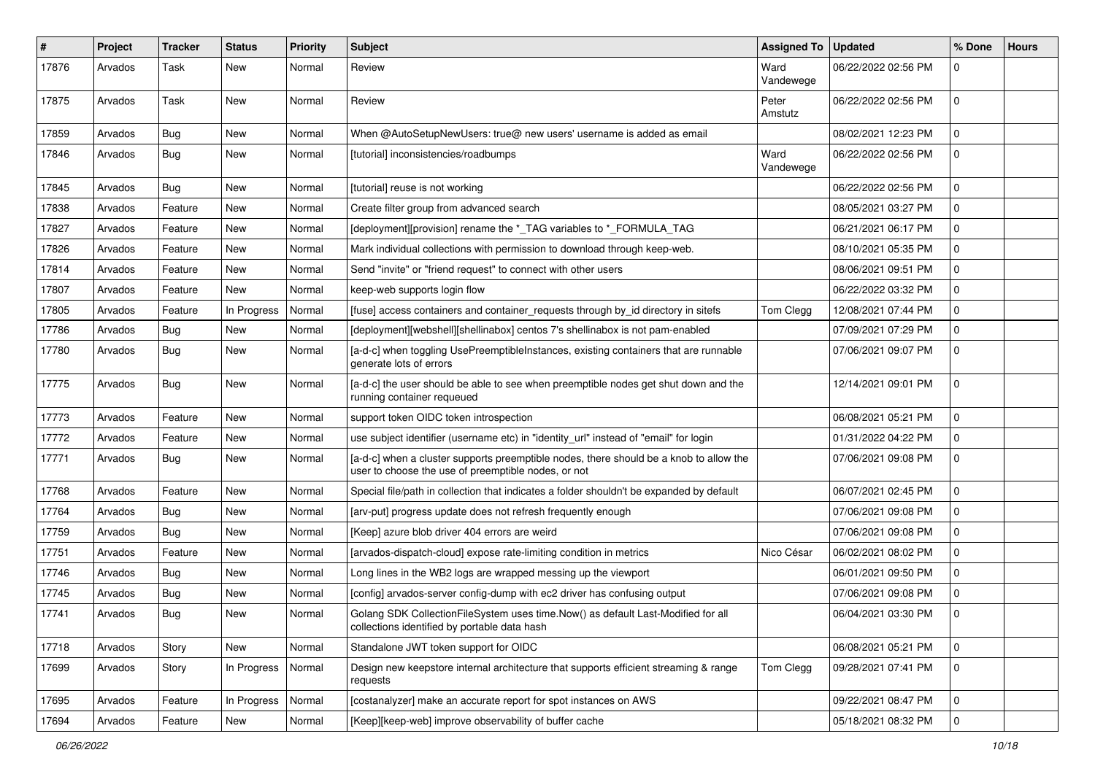| $\vert$ # | Project | Tracker    | <b>Status</b> | <b>Priority</b> | <b>Subject</b>                                                                                                                                | Assigned To   Updated |                     | % Done         | <b>Hours</b> |
|-----------|---------|------------|---------------|-----------------|-----------------------------------------------------------------------------------------------------------------------------------------------|-----------------------|---------------------|----------------|--------------|
| 17876     | Arvados | Task       | New           | Normal          | Review                                                                                                                                        | Ward<br>Vandewege     | 06/22/2022 02:56 PM | 0              |              |
| 17875     | Arvados | Task       | <b>New</b>    | Normal          | Review                                                                                                                                        | Peter<br>Amstutz      | 06/22/2022 02:56 PM | $\mathbf 0$    |              |
| 17859     | Arvados | Bug        | <b>New</b>    | Normal          | When @AutoSetupNewUsers: true@ new users' username is added as email                                                                          |                       | 08/02/2021 12:23 PM | 0              |              |
| 17846     | Arvados | Bug        | New           | Normal          | [tutorial] inconsistencies/roadbumps                                                                                                          | Ward<br>Vandewege     | 06/22/2022 02:56 PM | 0              |              |
| 17845     | Arvados | Bug        | <b>New</b>    | Normal          | [tutorial] reuse is not working                                                                                                               |                       | 06/22/2022 02:56 PM | 0              |              |
| 17838     | Arvados | Feature    | <b>New</b>    | Normal          | Create filter group from advanced search                                                                                                      |                       | 08/05/2021 03:27 PM | $\mathbf 0$    |              |
| 17827     | Arvados | Feature    | <b>New</b>    | Normal          | [deployment][provision] rename the *_TAG variables to *_FORMULA_TAG                                                                           |                       | 06/21/2021 06:17 PM | 0              |              |
| 17826     | Arvados | Feature    | New           | Normal          | Mark individual collections with permission to download through keep-web.                                                                     |                       | 08/10/2021 05:35 PM | $\mathbf 0$    |              |
| 17814     | Arvados | Feature    | <b>New</b>    | Normal          | Send "invite" or "friend request" to connect with other users                                                                                 |                       | 08/06/2021 09:51 PM | $\mathbf 0$    |              |
| 17807     | Arvados | Feature    | New           | Normal          | keep-web supports login flow                                                                                                                  |                       | 06/22/2022 03:32 PM | 0              |              |
| 17805     | Arvados | Feature    | In Progress   | Normal          | [fuse] access containers and container_requests through by_id directory in sitefs                                                             | Tom Clegg             | 12/08/2021 07:44 PM | $\Omega$       |              |
| 17786     | Arvados | <b>Bug</b> | <b>New</b>    | Normal          | [deployment][webshell][shellinabox] centos 7's shellinabox is not pam-enabled                                                                 |                       | 07/09/2021 07:29 PM | $\mathbf 0$    |              |
| 17780     | Arvados | Bug        | <b>New</b>    | Normal          | [a-d-c] when toggling UsePreemptibleInstances, existing containers that are runnable<br>generate lots of errors                               |                       | 07/06/2021 09:07 PM | $\mathbf 0$    |              |
| 17775     | Arvados | Bug        | <b>New</b>    | Normal          | [a-d-c] the user should be able to see when preemptible nodes get shut down and the<br>running container requeued                             |                       | 12/14/2021 09:01 PM | 0              |              |
| 17773     | Arvados | Feature    | <b>New</b>    | Normal          | support token OIDC token introspection                                                                                                        |                       | 06/08/2021 05:21 PM | $\overline{0}$ |              |
| 17772     | Arvados | Feature    | <b>New</b>    | Normal          | use subject identifier (username etc) in "identity_url" instead of "email" for login                                                          |                       | 01/31/2022 04:22 PM | 0              |              |
| 17771     | Arvados | <b>Bug</b> | <b>New</b>    | Normal          | [a-d-c] when a cluster supports preemptible nodes, there should be a knob to allow the<br>user to choose the use of preemptible nodes, or not |                       | 07/06/2021 09:08 PM | $\mathbf 0$    |              |
| 17768     | Arvados | Feature    | <b>New</b>    | Normal          | Special file/path in collection that indicates a folder shouldn't be expanded by default                                                      |                       | 06/07/2021 02:45 PM | 0              |              |
| 17764     | Arvados | Bug        | <b>New</b>    | Normal          | [arv-put] progress update does not refresh frequently enough                                                                                  |                       | 07/06/2021 09:08 PM | $\Omega$       |              |
| 17759     | Arvados | Bug        | <b>New</b>    | Normal          | [Keep] azure blob driver 404 errors are weird                                                                                                 |                       | 07/06/2021 09:08 PM | 0              |              |
| 17751     | Arvados | Feature    | New           | Normal          | [arvados-dispatch-cloud] expose rate-limiting condition in metrics                                                                            | Nico César            | 06/02/2021 08:02 PM | $\mathbf 0$    |              |
| 17746     | Arvados | Bug        | <b>New</b>    | Normal          | Long lines in the WB2 logs are wrapped messing up the viewport                                                                                |                       | 06/01/2021 09:50 PM | $\Omega$       |              |
| 17745     | Arvados | Bug        | <b>New</b>    | Normal          | [config] arvados-server config-dump with ec2 driver has confusing output                                                                      |                       | 07/06/2021 09:08 PM | 0              |              |
| 17741     | Arvados | Bug        | New           | Normal          | Golang SDK CollectionFileSystem uses time.Now() as default Last-Modified for all<br>collections identified by portable data hash              |                       | 06/04/2021 03:30 PM | 0              |              |
| 17718     | Arvados | Story      | New           | Normal          | Standalone JWT token support for OIDC                                                                                                         |                       | 06/08/2021 05:21 PM | 0              |              |
| 17699     | Arvados | Story      | In Progress   | Normal          | Design new keepstore internal architecture that supports efficient streaming & range<br>requests                                              | Tom Clegg             | 09/28/2021 07:41 PM | 0              |              |
| 17695     | Arvados | Feature    | In Progress   | Normal          | [costanalyzer] make an accurate report for spot instances on AWS                                                                              |                       | 09/22/2021 08:47 PM | 0              |              |
| 17694     | Arvados | Feature    | New           | Normal          | [Keep][keep-web] improve observability of buffer cache                                                                                        |                       | 05/18/2021 08:32 PM | 0              |              |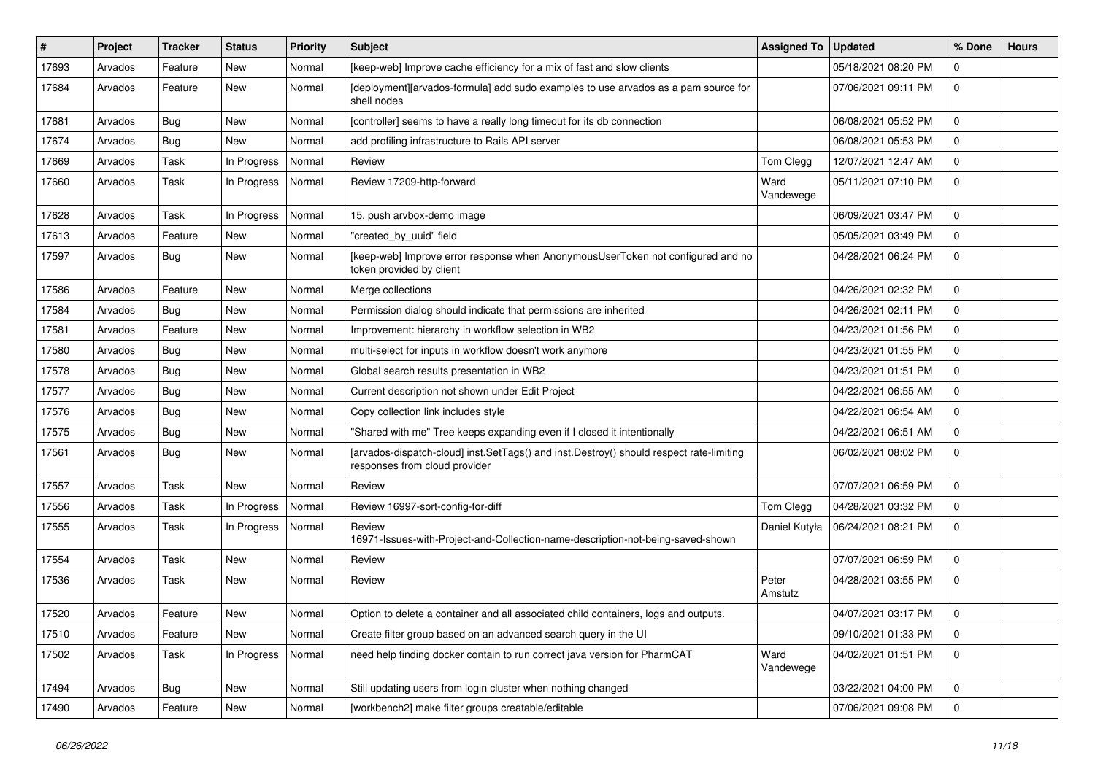| #     | Project | <b>Tracker</b> | <b>Status</b> | <b>Priority</b> | <b>Subject</b>                                                                                                           | <b>Assigned To</b> | <b>Updated</b>      | % Done       | <b>Hours</b> |
|-------|---------|----------------|---------------|-----------------|--------------------------------------------------------------------------------------------------------------------------|--------------------|---------------------|--------------|--------------|
| 17693 | Arvados | Feature        | New           | Normal          | [keep-web] Improve cache efficiency for a mix of fast and slow clients                                                   |                    | 05/18/2021 08:20 PM | $\mathbf 0$  |              |
| 17684 | Arvados | Feature        | New           | Normal          | [deployment][arvados-formula] add sudo examples to use arvados as a pam source for<br>shell nodes                        |                    | 07/06/2021 09:11 PM | $\mathbf 0$  |              |
| 17681 | Arvados | Bug            | <b>New</b>    | Normal          | [controller] seems to have a really long timeout for its db connection                                                   |                    | 06/08/2021 05:52 PM | $\mathbf 0$  |              |
| 17674 | Arvados | Bug            | <b>New</b>    | Normal          | add profiling infrastructure to Rails API server                                                                         |                    | 06/08/2021 05:53 PM | 0            |              |
| 17669 | Arvados | Task           | In Progress   | Normal          | Review                                                                                                                   | Tom Clegg          | 12/07/2021 12:47 AM | $\mathbf 0$  |              |
| 17660 | Arvados | Task           | In Progress   | Normal          | Review 17209-http-forward                                                                                                | Ward<br>Vandewege  | 05/11/2021 07:10 PM | $\mathbf 0$  |              |
| 17628 | Arvados | Task           | In Progress   | Normal          | 15. push arvbox-demo image                                                                                               |                    | 06/09/2021 03:47 PM | $\mathbf 0$  |              |
| 17613 | Arvados | Feature        | New           | Normal          | "created_by_uuid" field                                                                                                  |                    | 05/05/2021 03:49 PM | $\mathbf 0$  |              |
| 17597 | Arvados | Bug            | New           | Normal          | [keep-web] Improve error response when AnonymousUserToken not configured and no<br>token provided by client              |                    | 04/28/2021 06:24 PM | $\mathbf 0$  |              |
| 17586 | Arvados | Feature        | <b>New</b>    | Normal          | Merge collections                                                                                                        |                    | 04/26/2021 02:32 PM | $\mathbf 0$  |              |
| 17584 | Arvados | Bug            | New           | Normal          | Permission dialog should indicate that permissions are inherited                                                         |                    | 04/26/2021 02:11 PM | $\mathbf 0$  |              |
| 17581 | Arvados | Feature        | New           | Normal          | Improvement: hierarchy in workflow selection in WB2                                                                      |                    | 04/23/2021 01:56 PM | $\mathbf 0$  |              |
| 17580 | Arvados | <b>Bug</b>     | New           | Normal          | multi-select for inputs in workflow doesn't work anymore                                                                 |                    | 04/23/2021 01:55 PM | $\mathbf 0$  |              |
| 17578 | Arvados | <b>Bug</b>     | New           | Normal          | Global search results presentation in WB2                                                                                |                    | 04/23/2021 01:51 PM | $\mathbf 0$  |              |
| 17577 | Arvados | Bug            | New           | Normal          | Current description not shown under Edit Project                                                                         |                    | 04/22/2021 06:55 AM | $\mathbf 0$  |              |
| 17576 | Arvados | Bug            | New           | Normal          | Copy collection link includes style                                                                                      |                    | 04/22/2021 06:54 AM | $\mathbf 0$  |              |
| 17575 | Arvados | <b>Bug</b>     | New           | Normal          | "Shared with me" Tree keeps expanding even if I closed it intentionally                                                  |                    | 04/22/2021 06:51 AM | $\mathbf 0$  |              |
| 17561 | Arvados | <b>Bug</b>     | <b>New</b>    | Normal          | [arvados-dispatch-cloud] inst.SetTags() and inst.Destroy() should respect rate-limiting<br>responses from cloud provider |                    | 06/02/2021 08:02 PM | $\mathbf 0$  |              |
| 17557 | Arvados | Task           | <b>New</b>    | Normal          | Review                                                                                                                   |                    | 07/07/2021 06:59 PM | $\mathbf 0$  |              |
| 17556 | Arvados | Task           | In Progress   | Normal          | Review 16997-sort-config-for-diff                                                                                        | Tom Clegg          | 04/28/2021 03:32 PM | 0            |              |
| 17555 | Arvados | Task           | In Progress   | Normal          | Review<br>16971-Issues-with-Project-and-Collection-name-description-not-being-saved-shown                                | Daniel Kutyła      | 06/24/2021 08:21 PM | $\mathbf 0$  |              |
| 17554 | Arvados | Task           | <b>New</b>    | Normal          | Review                                                                                                                   |                    | 07/07/2021 06:59 PM | 0            |              |
| 17536 | Arvados | Task           | New           | Normal          | Review                                                                                                                   | Peter<br>Amstutz   | 04/28/2021 03:55 PM | $\mathbf 0$  |              |
| 17520 | Arvados | Feature        | New           | Normal          | Option to delete a container and all associated child containers, logs and outputs.                                      |                    | 04/07/2021 03:17 PM | $\Omega$     |              |
| 17510 | Arvados | Feature        | New           | Normal          | Create filter group based on an advanced search query in the UI                                                          |                    | 09/10/2021 01:33 PM | 0            |              |
| 17502 | Arvados | Task           | In Progress   | Normal          | need help finding docker contain to run correct java version for PharmCAT                                                | Ward<br>Vandewege  | 04/02/2021 01:51 PM | $\mathbf 0$  |              |
| 17494 | Arvados | <b>Bug</b>     | New           | Normal          | Still updating users from login cluster when nothing changed                                                             |                    | 03/22/2021 04:00 PM | $\mathsf{O}$ |              |
| 17490 | Arvados | Feature        | New           | Normal          | [workbench2] make filter groups creatable/editable                                                                       |                    | 07/06/2021 09:08 PM | $\mathbf 0$  |              |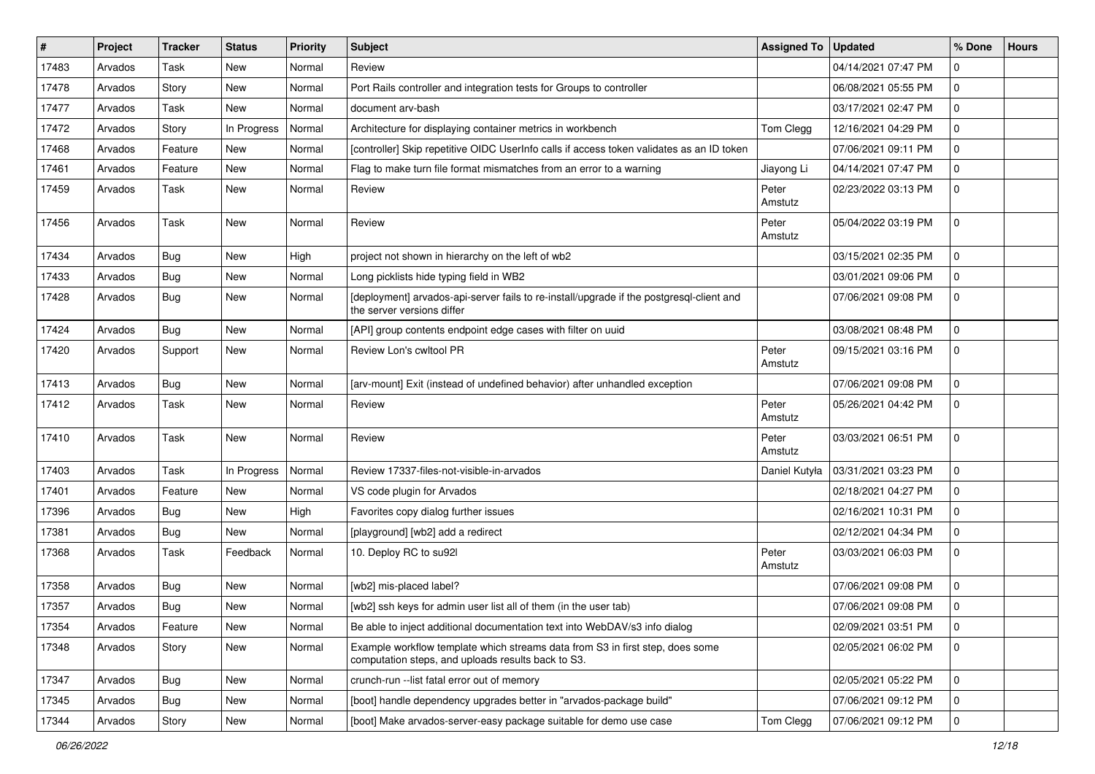| #     | Project | <b>Tracker</b> | <b>Status</b> | <b>Priority</b> | <b>Subject</b>                                                                                                                      | <b>Assigned To</b> | <b>Updated</b>      | % Done      | <b>Hours</b> |
|-------|---------|----------------|---------------|-----------------|-------------------------------------------------------------------------------------------------------------------------------------|--------------------|---------------------|-------------|--------------|
| 17483 | Arvados | Task           | New           | Normal          | Review                                                                                                                              |                    | 04/14/2021 07:47 PM | $\Omega$    |              |
| 17478 | Arvados | Story          | <b>New</b>    | Normal          | Port Rails controller and integration tests for Groups to controller                                                                |                    | 06/08/2021 05:55 PM | 0           |              |
| 17477 | Arvados | Task           | New           | Normal          | document arv-bash                                                                                                                   |                    | 03/17/2021 02:47 PM | $\Omega$    |              |
| 17472 | Arvados | Story          | In Progress   | Normal          | Architecture for displaying container metrics in workbench                                                                          | Tom Clegg          | 12/16/2021 04:29 PM | $\Omega$    |              |
| 17468 | Arvados | Feature        | <b>New</b>    | Normal          | [controller] Skip repetitive OIDC UserInfo calls if access token validates as an ID token                                           |                    | 07/06/2021 09:11 PM | $\Omega$    |              |
| 17461 | Arvados | Feature        | New           | Normal          | Flag to make turn file format mismatches from an error to a warning                                                                 | Jiayong Li         | 04/14/2021 07:47 PM | 0           |              |
| 17459 | Arvados | Task           | New           | Normal          | Review                                                                                                                              | Peter<br>Amstutz   | 02/23/2022 03:13 PM | $\Omega$    |              |
| 17456 | Arvados | Task           | <b>New</b>    | Normal          | Review                                                                                                                              | Peter<br>Amstutz   | 05/04/2022 03:19 PM | $\Omega$    |              |
| 17434 | Arvados | Bug            | New           | High            | project not shown in hierarchy on the left of wb2                                                                                   |                    | 03/15/2021 02:35 PM | $\Omega$    |              |
| 17433 | Arvados | Bug            | New           | Normal          | Long picklists hide typing field in WB2                                                                                             |                    | 03/01/2021 09:06 PM | $\Omega$    |              |
| 17428 | Arvados | <b>Bug</b>     | New           | Normal          | [deployment] arvados-api-server fails to re-install/upgrade if the postgresql-client and<br>the server versions differ              |                    | 07/06/2021 09:08 PM | $\Omega$    |              |
| 17424 | Arvados | Bug            | <b>New</b>    | Normal          | [API] group contents endpoint edge cases with filter on uuid                                                                        |                    | 03/08/2021 08:48 PM | $\Omega$    |              |
| 17420 | Arvados | Support        | New           | Normal          | Review Lon's cwltool PR                                                                                                             | Peter<br>Amstutz   | 09/15/2021 03:16 PM | 0           |              |
| 17413 | Arvados | <b>Bug</b>     | <b>New</b>    | Normal          | [arv-mount] Exit (instead of undefined behavior) after unhandled exception                                                          |                    | 07/06/2021 09:08 PM | $\Omega$    |              |
| 17412 | Arvados | Task           | New           | Normal          | Review                                                                                                                              | Peter<br>Amstutz   | 05/26/2021 04:42 PM | $\Omega$    |              |
| 17410 | Arvados | Task           | New           | Normal          | Review                                                                                                                              | Peter<br>Amstutz   | 03/03/2021 06:51 PM | $\Omega$    |              |
| 17403 | Arvados | Task           | In Progress   | Normal          | Review 17337-files-not-visible-in-arvados                                                                                           | Daniel Kutyła      | 03/31/2021 03:23 PM | $\Omega$    |              |
| 17401 | Arvados | Feature        | <b>New</b>    | Normal          | VS code plugin for Arvados                                                                                                          |                    | 02/18/2021 04:27 PM | $\Omega$    |              |
| 17396 | Arvados | Bug            | New           | High            | Favorites copy dialog further issues                                                                                                |                    | 02/16/2021 10:31 PM | 0           |              |
| 17381 | Arvados | <b>Bug</b>     | New           | Normal          | [playground] [wb2] add a redirect                                                                                                   |                    | 02/12/2021 04:34 PM | $\Omega$    |              |
| 17368 | Arvados | Task           | Feedback      | Normal          | 10. Deploy RC to su92l                                                                                                              | Peter<br>Amstutz   | 03/03/2021 06:03 PM | $\Omega$    |              |
| 17358 | Arvados | <b>Bug</b>     | <b>New</b>    | Normal          | [wb2] mis-placed label?                                                                                                             |                    | 07/06/2021 09:08 PM | $\Omega$    |              |
| 17357 | Arvados | Bug            | New           | Normal          | [wb2] ssh keys for admin user list all of them (in the user tab)                                                                    |                    | 07/06/2021 09:08 PM | $\Omega$    |              |
| 17354 | Arvados | Feature        | New           | Normal          | Be able to inject additional documentation text into WebDAV/s3 info dialog                                                          |                    | 02/09/2021 03:51 PM | $\mathbf 0$ |              |
| 17348 | Arvados | Story          | New           | Normal          | Example workflow template which streams data from S3 in first step, does some<br>computation steps, and uploads results back to S3. |                    | 02/05/2021 06:02 PM | $\mathbf 0$ |              |
| 17347 | Arvados | Bug            | New           | Normal          | crunch-run --list fatal error out of memory                                                                                         |                    | 02/05/2021 05:22 PM | 0           |              |
| 17345 | Arvados | <b>Bug</b>     | New           | Normal          | [boot] handle dependency upgrades better in "arvados-package build"                                                                 |                    | 07/06/2021 09:12 PM | $\mathbf 0$ |              |
| 17344 | Arvados | Story          | New           | Normal          | [boot] Make arvados-server-easy package suitable for demo use case                                                                  | Tom Clegg          | 07/06/2021 09:12 PM | $\Omega$    |              |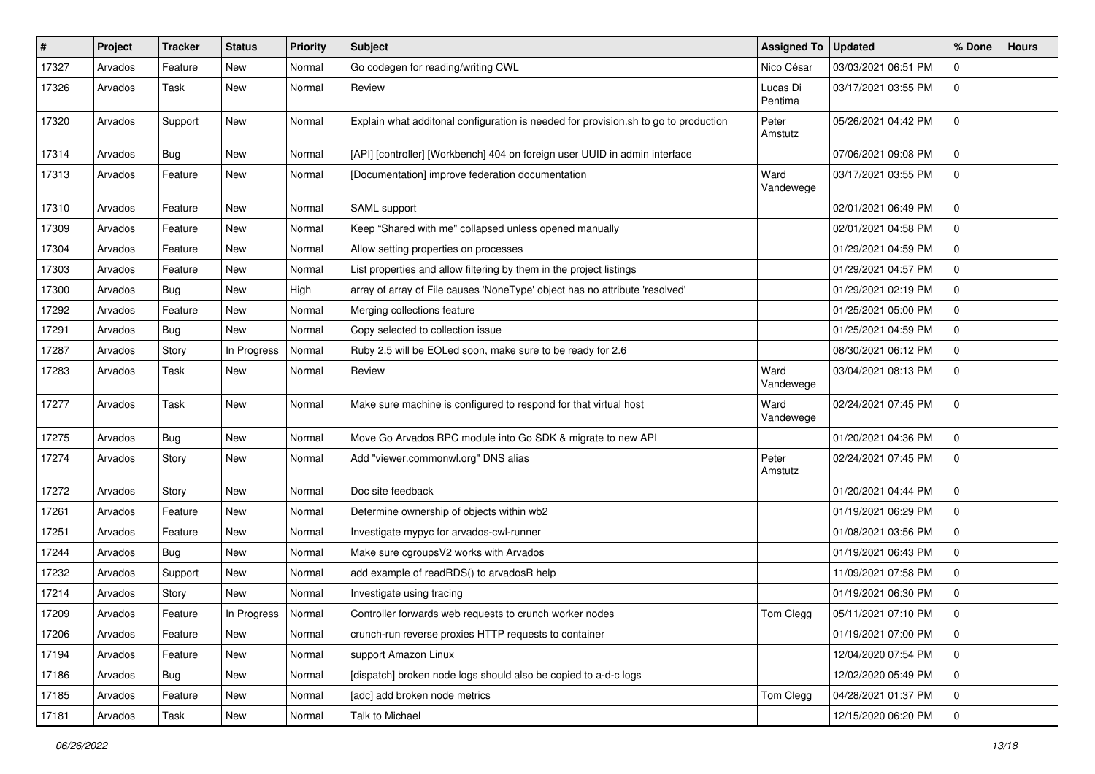| $\vert$ # | Project | <b>Tracker</b> | <b>Status</b> | <b>Priority</b> | <b>Subject</b>                                                                      | <b>Assigned To</b>  | <b>Updated</b>      | % Done      | <b>Hours</b> |
|-----------|---------|----------------|---------------|-----------------|-------------------------------------------------------------------------------------|---------------------|---------------------|-------------|--------------|
| 17327     | Arvados | Feature        | New           | Normal          | Go codegen for reading/writing CWL                                                  | Nico César          | 03/03/2021 06:51 PM | 0           |              |
| 17326     | Arvados | Task           | New           | Normal          | Review                                                                              | Lucas Di<br>Pentima | 03/17/2021 03:55 PM | 0           |              |
| 17320     | Arvados | Support        | New           | Normal          | Explain what additonal configuration is needed for provision.sh to go to production | Peter<br>Amstutz    | 05/26/2021 04:42 PM | $\mathbf 0$ |              |
| 17314     | Arvados | Bug            | New           | Normal          | [API] [controller] [Workbench] 404 on foreign user UUID in admin interface          |                     | 07/06/2021 09:08 PM | $\mathsf 0$ |              |
| 17313     | Arvados | Feature        | <b>New</b>    | Normal          | [Documentation] improve federation documentation                                    | Ward<br>Vandewege   | 03/17/2021 03:55 PM | 0           |              |
| 17310     | Arvados | Feature        | New           | Normal          | SAML support                                                                        |                     | 02/01/2021 06:49 PM | 0           |              |
| 17309     | Arvados | Feature        | <b>New</b>    | Normal          | Keep "Shared with me" collapsed unless opened manually                              |                     | 02/01/2021 04:58 PM | $\mathbf 0$ |              |
| 17304     | Arvados | Feature        | New           | Normal          | Allow setting properties on processes                                               |                     | 01/29/2021 04:59 PM | 0           |              |
| 17303     | Arvados | Feature        | New           | Normal          | List properties and allow filtering by them in the project listings                 |                     | 01/29/2021 04:57 PM | 0           |              |
| 17300     | Arvados | Bug            | New           | High            | array of array of File causes 'NoneType' object has no attribute 'resolved'         |                     | 01/29/2021 02:19 PM | 0           |              |
| 17292     | Arvados | Feature        | New           | Normal          | Merging collections feature                                                         |                     | 01/25/2021 05:00 PM | 0           |              |
| 17291     | Arvados | Bug            | New           | Normal          | Copy selected to collection issue                                                   |                     | 01/25/2021 04:59 PM | $\mathsf 0$ |              |
| 17287     | Arvados | Story          | In Progress   | Normal          | Ruby 2.5 will be EOLed soon, make sure to be ready for 2.6                          |                     | 08/30/2021 06:12 PM | 0           |              |
| 17283     | Arvados | Task           | New           | Normal          | Review                                                                              | Ward<br>Vandewege   | 03/04/2021 08:13 PM | $\mathbf 0$ |              |
| 17277     | Arvados | Task           | New           | Normal          | Make sure machine is configured to respond for that virtual host                    | Ward<br>Vandewege   | 02/24/2021 07:45 PM | $\mathsf 0$ |              |
| 17275     | Arvados | Bug            | <b>New</b>    | Normal          | Move Go Arvados RPC module into Go SDK & migrate to new API                         |                     | 01/20/2021 04:36 PM | 0           |              |
| 17274     | Arvados | Story          | New           | Normal          | Add "viewer.commonwl.org" DNS alias                                                 | Peter<br>Amstutz    | 02/24/2021 07:45 PM | 0           |              |
| 17272     | Arvados | Story          | New           | Normal          | Doc site feedback                                                                   |                     | 01/20/2021 04:44 PM | 0           |              |
| 17261     | Arvados | Feature        | New           | Normal          | Determine ownership of objects within wb2                                           |                     | 01/19/2021 06:29 PM | $\mathbf 0$ |              |
| 17251     | Arvados | Feature        | New           | Normal          | Investigate mypyc for arvados-cwl-runner                                            |                     | 01/08/2021 03:56 PM | 0           |              |
| 17244     | Arvados | Bug            | New           | Normal          | Make sure cgroupsV2 works with Arvados                                              |                     | 01/19/2021 06:43 PM | 0           |              |
| 17232     | Arvados | Support        | New           | Normal          | add example of readRDS() to arvadosR help                                           |                     | 11/09/2021 07:58 PM | 0           |              |
| 17214     | Arvados | Story          | <b>New</b>    | Normal          | Investigate using tracing                                                           |                     | 01/19/2021 06:30 PM | 0           |              |
| 17209     | Arvados | Feature        | In Progress   | Normal          | Controller forwards web requests to crunch worker nodes                             | Tom Clegg           | 05/11/2021 07:10 PM | $\mathbf 0$ |              |
| 17206     | Arvados | Feature        | New           | Normal          | crunch-run reverse proxies HTTP requests to container                               |                     | 01/19/2021 07:00 PM | $\mathbf 0$ |              |
| 17194     | Arvados | Feature        | New           | Normal          | support Amazon Linux                                                                |                     | 12/04/2020 07:54 PM | 0           |              |
| 17186     | Arvados | Bug            | New           | Normal          | [dispatch] broken node logs should also be copied to a-d-c logs                     |                     | 12/02/2020 05:49 PM | 0           |              |
| 17185     | Arvados | Feature        | New           | Normal          | [adc] add broken node metrics                                                       | Tom Clegg           | 04/28/2021 01:37 PM | 0           |              |
| 17181     | Arvados | Task           | New           | Normal          | Talk to Michael                                                                     |                     | 12/15/2020 06:20 PM | $\mathbf 0$ |              |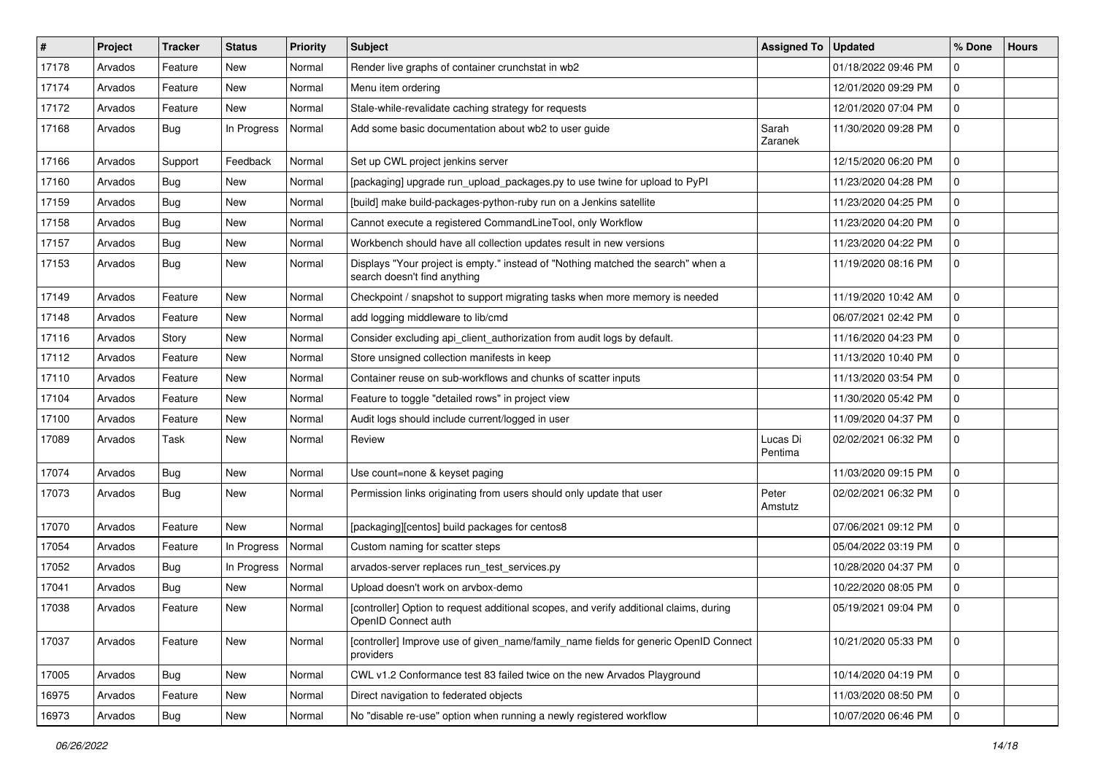| #     | Project | <b>Tracker</b> | <b>Status</b> | <b>Priority</b> | <b>Subject</b>                                                                                                   | Assigned To   Updated |                     | % Done      | <b>Hours</b> |
|-------|---------|----------------|---------------|-----------------|------------------------------------------------------------------------------------------------------------------|-----------------------|---------------------|-------------|--------------|
| 17178 | Arvados | Feature        | New           | Normal          | Render live graphs of container crunchstat in wb2                                                                |                       | 01/18/2022 09:46 PM | $\mathbf 0$ |              |
| 17174 | Arvados | Feature        | <b>New</b>    | Normal          | Menu item ordering                                                                                               |                       | 12/01/2020 09:29 PM | $\mathbf 0$ |              |
| 17172 | Arvados | Feature        | New           | Normal          | Stale-while-revalidate caching strategy for requests                                                             |                       | 12/01/2020 07:04 PM | $\mathbf 0$ |              |
| 17168 | Arvados | Bug            | In Progress   | Normal          | Add some basic documentation about wb2 to user guide                                                             | Sarah<br>Zaranek      | 11/30/2020 09:28 PM | 0           |              |
| 17166 | Arvados | Support        | Feedback      | Normal          | Set up CWL project jenkins server                                                                                |                       | 12/15/2020 06:20 PM | $\mathbf 0$ |              |
| 17160 | Arvados | <b>Bug</b>     | New           | Normal          | [packaging] upgrade run_upload_packages.py to use twine for upload to PyPI                                       |                       | 11/23/2020 04:28 PM | $\Omega$    |              |
| 17159 | Arvados | <b>Bug</b>     | New           | Normal          | [build] make build-packages-python-ruby run on a Jenkins satellite                                               |                       | 11/23/2020 04:25 PM | $\Omega$    |              |
| 17158 | Arvados | <b>Bug</b>     | New           | Normal          | Cannot execute a registered CommandLineTool, only Workflow                                                       |                       | 11/23/2020 04:20 PM | $\mathbf 0$ |              |
| 17157 | Arvados | <b>Bug</b>     | <b>New</b>    | Normal          | Workbench should have all collection updates result in new versions                                              |                       | 11/23/2020 04:22 PM | 0           |              |
| 17153 | Arvados | Bug            | New           | Normal          | Displays "Your project is empty." instead of "Nothing matched the search" when a<br>search doesn't find anything |                       | 11/19/2020 08:16 PM | $\mathbf 0$ |              |
| 17149 | Arvados | Feature        | New           | Normal          | Checkpoint / snapshot to support migrating tasks when more memory is needed                                      |                       | 11/19/2020 10:42 AM | 0           |              |
| 17148 | Arvados | Feature        | New           | Normal          | add logging middleware to lib/cmd                                                                                |                       | 06/07/2021 02:42 PM | $\mathbf 0$ |              |
| 17116 | Arvados | Story          | New           | Normal          | Consider excluding api_client_authorization from audit logs by default.                                          |                       | 11/16/2020 04:23 PM | $\mathbf 0$ |              |
| 17112 | Arvados | Feature        | New           | Normal          | Store unsigned collection manifests in keep                                                                      |                       | 11/13/2020 10:40 PM | 0           |              |
| 17110 | Arvados | Feature        | New           | Normal          | Container reuse on sub-workflows and chunks of scatter inputs                                                    |                       | 11/13/2020 03:54 PM | 0           |              |
| 17104 | Arvados | Feature        | New           | Normal          | Feature to toggle "detailed rows" in project view                                                                |                       | 11/30/2020 05:42 PM | 0           |              |
| 17100 | Arvados | Feature        | New           | Normal          | Audit logs should include current/logged in user                                                                 |                       | 11/09/2020 04:37 PM | $\mathbf 0$ |              |
| 17089 | Arvados | Task           | New           | Normal          | Review                                                                                                           | Lucas Di<br>Pentima   | 02/02/2021 06:32 PM | 0           |              |
| 17074 | Arvados | <b>Bug</b>     | <b>New</b>    | Normal          | Use count=none & keyset paging                                                                                   |                       | 11/03/2020 09:15 PM | $\mathbf 0$ |              |
| 17073 | Arvados | Bug            | <b>New</b>    | Normal          | Permission links originating from users should only update that user                                             | Peter<br>Amstutz      | 02/02/2021 06:32 PM | 0           |              |
| 17070 | Arvados | Feature        | New           | Normal          | [packaging][centos] build packages for centos8                                                                   |                       | 07/06/2021 09:12 PM | $\mathbf 0$ |              |
| 17054 | Arvados | Feature        | In Progress   | Normal          | Custom naming for scatter steps                                                                                  |                       | 05/04/2022 03:19 PM | $\mathbf 0$ |              |
| 17052 | Arvados | Bug            | In Progress   | Normal          | arvados-server replaces run test services.py                                                                     |                       | 10/28/2020 04:37 PM | $\mathbf 0$ |              |
| 17041 | Arvados | <b>Bug</b>     | <b>New</b>    | Normal          | Upload doesn't work on arvbox-demo                                                                               |                       | 10/22/2020 08:05 PM | $\mathbf 0$ |              |
| 17038 | Arvados | Feature        | New           | Normal          | [controller] Option to request additional scopes, and verify additional claims, during<br>OpenID Connect auth    |                       | 05/19/2021 09:04 PM | 0           |              |
| 17037 | Arvados | Feature        | New           | Normal          | [controller] Improve use of given_name/family_name fields for generic OpenID Connect<br>providers                |                       | 10/21/2020 05:33 PM | 0           |              |
| 17005 | Arvados | <b>Bug</b>     | New           | Normal          | CWL v1.2 Conformance test 83 failed twice on the new Arvados Playground                                          |                       | 10/14/2020 04:19 PM | 0           |              |
| 16975 | Arvados | Feature        | New           | Normal          | Direct navigation to federated objects                                                                           |                       | 11/03/2020 08:50 PM | 0           |              |
| 16973 | Arvados | Bug            | New           | Normal          | No "disable re-use" option when running a newly registered workflow                                              |                       | 10/07/2020 06:46 PM | 0           |              |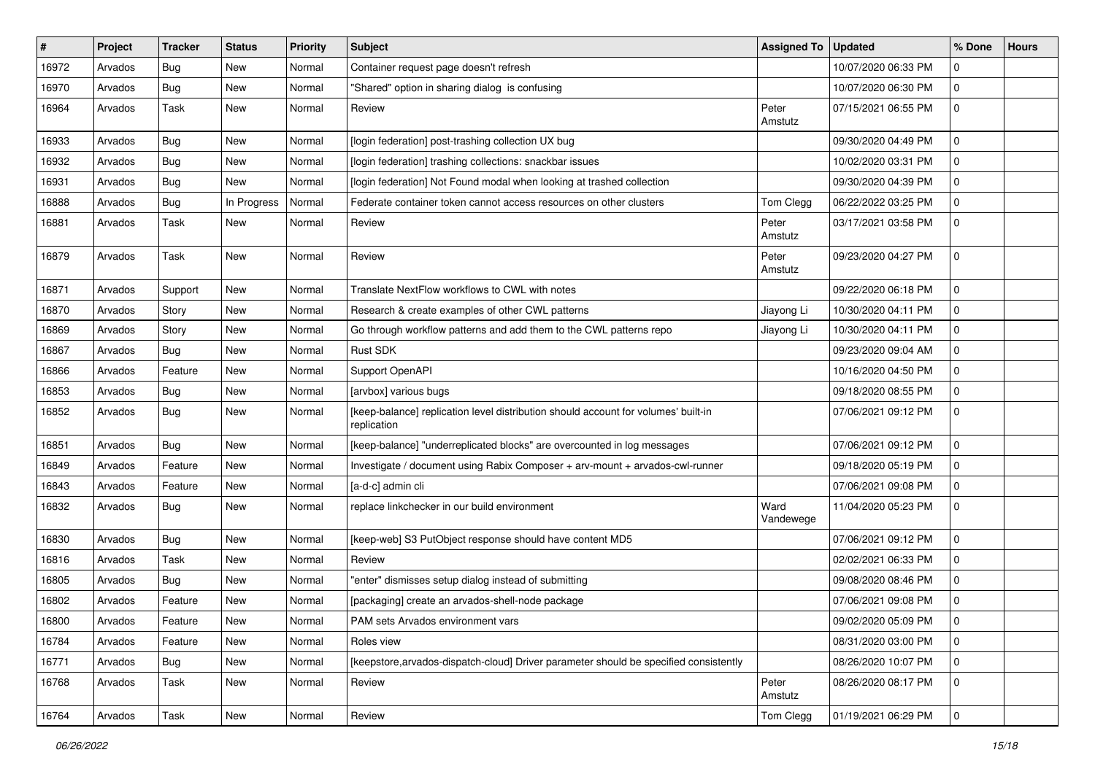| #     | Project | <b>Tracker</b> | <b>Status</b> | <b>Priority</b> | Subject                                                                                           | Assigned To   Updated |                     | % Done      | <b>Hours</b> |
|-------|---------|----------------|---------------|-----------------|---------------------------------------------------------------------------------------------------|-----------------------|---------------------|-------------|--------------|
| 16972 | Arvados | Bug            | New           | Normal          | Container request page doesn't refresh                                                            |                       | 10/07/2020 06:33 PM | $\mathbf 0$ |              |
| 16970 | Arvados | Bug            | <b>New</b>    | Normal          | "Shared" option in sharing dialog is confusing                                                    |                       | 10/07/2020 06:30 PM | $\mathbf 0$ |              |
| 16964 | Arvados | Task           | New           | Normal          | Review                                                                                            | Peter<br>Amstutz      | 07/15/2021 06:55 PM | $\Omega$    |              |
| 16933 | Arvados | Bug            | New           | Normal          | [login federation] post-trashing collection UX bug                                                |                       | 09/30/2020 04:49 PM | 0           |              |
| 16932 | Arvados | Bug            | New           | Normal          | [login federation] trashing collections: snackbar issues                                          |                       | 10/02/2020 03:31 PM | $\mathbf 0$ |              |
| 16931 | Arvados | Bug            | New           | Normal          | [login federation] Not Found modal when looking at trashed collection                             |                       | 09/30/2020 04:39 PM | $\Omega$    |              |
| 16888 | Arvados | <b>Bug</b>     | In Progress   | Normal          | Federate container token cannot access resources on other clusters                                | Tom Clegg             | 06/22/2022 03:25 PM | $\mathbf 0$ |              |
| 16881 | Arvados | Task           | New           | Normal          | Review                                                                                            | Peter<br>Amstutz      | 03/17/2021 03:58 PM | $\mathbf 0$ |              |
| 16879 | Arvados | Task           | <b>New</b>    | Normal          | Review                                                                                            | Peter<br>Amstutz      | 09/23/2020 04:27 PM | 0           |              |
| 16871 | Arvados | Support        | New           | Normal          | Translate NextFlow workflows to CWL with notes                                                    |                       | 09/22/2020 06:18 PM | 0           |              |
| 16870 | Arvados | Story          | New           | Normal          | Research & create examples of other CWL patterns                                                  | Jiayong Li            | 10/30/2020 04:11 PM | 0           |              |
| 16869 | Arvados | Story          | <b>New</b>    | Normal          | Go through workflow patterns and add them to the CWL patterns repo                                | Jiayong Li            | 10/30/2020 04:11 PM | $\mathbf 0$ |              |
| 16867 | Arvados | Bug            | New           | Normal          | Rust SDK                                                                                          |                       | 09/23/2020 09:04 AM | $\Omega$    |              |
| 16866 | Arvados | Feature        | New           | Normal          | Support OpenAPI                                                                                   |                       | 10/16/2020 04:50 PM | $\Omega$    |              |
| 16853 | Arvados | Bug            | <b>New</b>    | Normal          | [arvbox] various bugs                                                                             |                       | 09/18/2020 08:55 PM | 0           |              |
| 16852 | Arvados | Bug            | New           | Normal          | [keep-balance] replication level distribution should account for volumes' built-in<br>replication |                       | 07/06/2021 09:12 PM | $\mathbf 0$ |              |
| 16851 | Arvados | Bug            | New           | Normal          | [keep-balance] "underreplicated blocks" are overcounted in log messages                           |                       | 07/06/2021 09:12 PM | 0           |              |
| 16849 | Arvados | Feature        | New           | Normal          | Investigate / document using Rabix Composer + arv-mount + arvados-cwl-runner                      |                       | 09/18/2020 05:19 PM | 0           |              |
| 16843 | Arvados | Feature        | New           | Normal          | [a-d-c] admin cli                                                                                 |                       | 07/06/2021 09:08 PM | $\mathbf 0$ |              |
| 16832 | Arvados | Bug            | New           | Normal          | replace linkchecker in our build environment                                                      | Ward<br>Vandewege     | 11/04/2020 05:23 PM | $\Omega$    |              |
| 16830 | Arvados | Bug            | <b>New</b>    | Normal          | [keep-web] S3 PutObject response should have content MD5                                          |                       | 07/06/2021 09:12 PM | $\mathbf 0$ |              |
| 16816 | Arvados | Task           | New           | Normal          | Review                                                                                            |                       | 02/02/2021 06:33 PM | $\mathbf 0$ |              |
| 16805 | Arvados | Bug            | New           | Normal          | "enter" dismisses setup dialog instead of submitting                                              |                       | 09/08/2020 08:46 PM | $\Omega$    |              |
| 16802 | Arvados | Feature        | New           | Normal          | [packaging] create an arvados-shell-node package                                                  |                       | 07/06/2021 09:08 PM | 0           |              |
| 16800 | Arvados | Feature        | New           | Normal          | PAM sets Arvados environment vars                                                                 |                       | 09/02/2020 05:09 PM |             |              |
| 16784 | Arvados | Feature        | New           | Normal          | Roles view                                                                                        |                       | 08/31/2020 03:00 PM | 0           |              |
| 16771 | Arvados | <b>Bug</b>     | New           | Normal          | [keepstore, arvados-dispatch-cloud] Driver parameter should be specified consistently             |                       | 08/26/2020 10:07 PM | 0           |              |
| 16768 | Arvados | Task           | New           | Normal          | Review                                                                                            | Peter<br>Amstutz      | 08/26/2020 08:17 PM | 0           |              |
| 16764 | Arvados | Task           | New           | Normal          | Review                                                                                            | Tom Clegg             | 01/19/2021 06:29 PM | l 0         |              |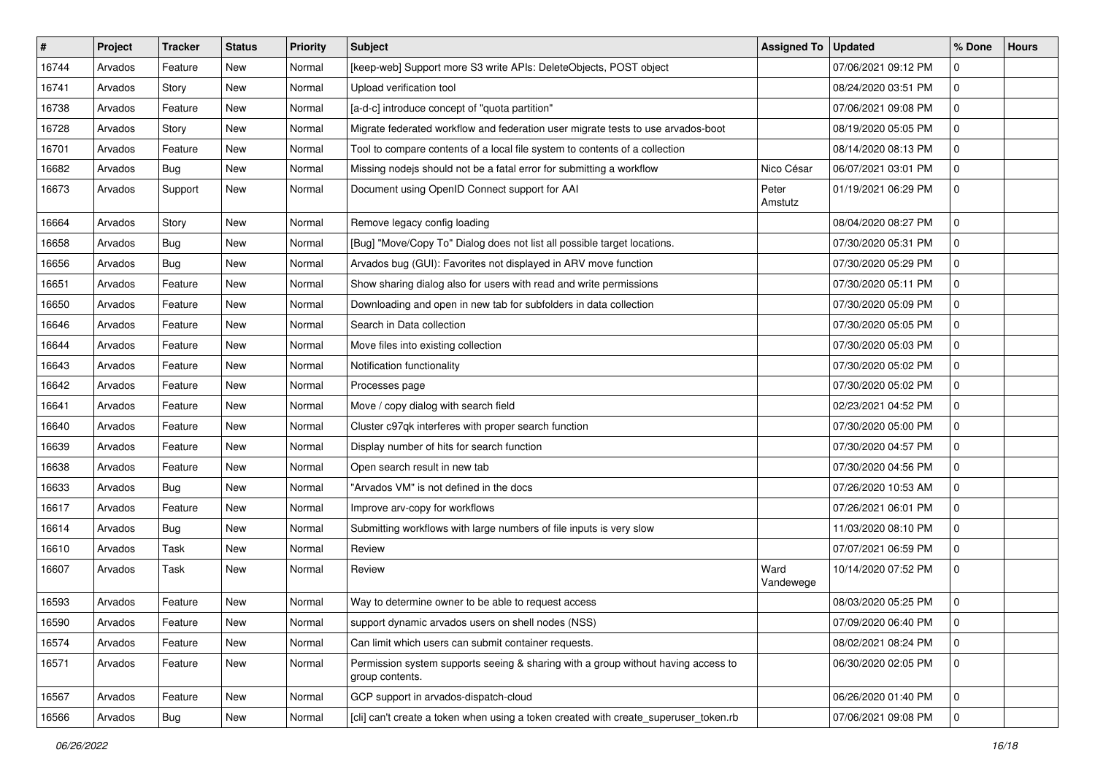| #     | Project | <b>Tracker</b> | <b>Status</b> | <b>Priority</b> | Subject                                                                                              | <b>Assigned To</b> | <b>Updated</b>      | % Done      | Hours |
|-------|---------|----------------|---------------|-----------------|------------------------------------------------------------------------------------------------------|--------------------|---------------------|-------------|-------|
| 16744 | Arvados | Feature        | <b>New</b>    | Normal          | [keep-web] Support more S3 write APIs: DeleteObjects, POST object                                    |                    | 07/06/2021 09:12 PM | $\mathbf 0$ |       |
| 16741 | Arvados | Story          | <b>New</b>    | Normal          | Upload verification tool                                                                             |                    | 08/24/2020 03:51 PM | $\Omega$    |       |
| 16738 | Arvados | Feature        | New           | Normal          | [a-d-c] introduce concept of "quota partition"                                                       |                    | 07/06/2021 09:08 PM | $\mathbf 0$ |       |
| 16728 | Arvados | Story          | <b>New</b>    | Normal          | Migrate federated workflow and federation user migrate tests to use arvados-boot                     |                    | 08/19/2020 05:05 PM | $\mathbf 0$ |       |
| 16701 | Arvados | Feature        | <b>New</b>    | Normal          | Tool to compare contents of a local file system to contents of a collection                          |                    | 08/14/2020 08:13 PM | $\mathbf 0$ |       |
| 16682 | Arvados | <b>Bug</b>     | New           | Normal          | Missing nodejs should not be a fatal error for submitting a workflow                                 | Nico César         | 06/07/2021 03:01 PM | $\Omega$    |       |
| 16673 | Arvados | Support        | <b>New</b>    | Normal          | Document using OpenID Connect support for AAI                                                        | Peter<br>Amstutz   | 01/19/2021 06:29 PM | $\mathbf 0$ |       |
| 16664 | Arvados | Story          | <b>New</b>    | Normal          | Remove legacy config loading                                                                         |                    | 08/04/2020 08:27 PM | $\mathbf 0$ |       |
| 16658 | Arvados | Bug            | <b>New</b>    | Normal          | [Bug] "Move/Copy To" Dialog does not list all possible target locations.                             |                    | 07/30/2020 05:31 PM | $\Omega$    |       |
| 16656 | Arvados | Bug            | <b>New</b>    | Normal          | Arvados bug (GUI): Favorites not displayed in ARV move function                                      |                    | 07/30/2020 05:29 PM | 0           |       |
| 16651 | Arvados | Feature        | <b>New</b>    | Normal          | Show sharing dialog also for users with read and write permissions                                   |                    | 07/30/2020 05:11 PM | 0           |       |
| 16650 | Arvados | Feature        | <b>New</b>    | Normal          | Downloading and open in new tab for subfolders in data collection                                    |                    | 07/30/2020 05:09 PM | $\Omega$    |       |
| 16646 | Arvados | Feature        | New           | Normal          | Search in Data collection                                                                            |                    | 07/30/2020 05:05 PM | $\Omega$    |       |
| 16644 | Arvados | Feature        | <b>New</b>    | Normal          | Move files into existing collection                                                                  |                    | 07/30/2020 05:03 PM | $\Omega$    |       |
| 16643 | Arvados | Feature        | New           | Normal          | Notification functionality                                                                           |                    | 07/30/2020 05:02 PM | 0           |       |
| 16642 | Arvados | Feature        | <b>New</b>    | Normal          | Processes page                                                                                       |                    | 07/30/2020 05:02 PM | $\Omega$    |       |
| 16641 | Arvados | Feature        | <b>New</b>    | Normal          | Move / copy dialog with search field                                                                 |                    | 02/23/2021 04:52 PM | $\mathbf 0$ |       |
| 16640 | Arvados | Feature        | <b>New</b>    | Normal          | Cluster c97qk interferes with proper search function                                                 |                    | 07/30/2020 05:00 PM | $\mathbf 0$ |       |
| 16639 | Arvados | Feature        | <b>New</b>    | Normal          | Display number of hits for search function                                                           |                    | 07/30/2020 04:57 PM | $\Omega$    |       |
| 16638 | Arvados | Feature        | <b>New</b>    | Normal          | Open search result in new tab                                                                        |                    | 07/30/2020 04:56 PM | 0           |       |
| 16633 | Arvados | Bug            | New           | Normal          | "Arvados VM" is not defined in the docs                                                              |                    | 07/26/2020 10:53 AM | $\mathbf 0$ |       |
| 16617 | Arvados | Feature        | <b>New</b>    | Normal          | Improve arv-copy for workflows                                                                       |                    | 07/26/2021 06:01 PM | $\Omega$    |       |
| 16614 | Arvados | Bug            | New           | Normal          | Submitting workflows with large numbers of file inputs is very slow                                  |                    | 11/03/2020 08:10 PM | $\Omega$    |       |
| 16610 | Arvados | Task           | <b>New</b>    | Normal          | Review                                                                                               |                    | 07/07/2021 06:59 PM | $\mathbf 0$ |       |
| 16607 | Arvados | Task           | <b>New</b>    | Normal          | Review                                                                                               | Ward<br>Vandewege  | 10/14/2020 07:52 PM | $\Omega$    |       |
| 16593 | Arvados | Feature        | <b>New</b>    | Normal          | Way to determine owner to be able to request access                                                  |                    | 08/03/2020 05:25 PM | 0           |       |
| 16590 | Arvados | Feature        | New           | Normal          | support dynamic arvados users on shell nodes (NSS)                                                   |                    | 07/09/2020 06:40 PM | 10          |       |
| 16574 | Arvados | Feature        | New           | Normal          | Can limit which users can submit container requests.                                                 |                    | 08/02/2021 08:24 PM | $\Omega$    |       |
| 16571 | Arvados | Feature        | New           | Normal          | Permission system supports seeing & sharing with a group without having access to<br>group contents. |                    | 06/30/2020 02:05 PM | 0           |       |
| 16567 | Arvados | Feature        | <b>New</b>    | Normal          | GCP support in arvados-dispatch-cloud                                                                |                    | 06/26/2020 01:40 PM | 0           |       |
| 16566 | Arvados | Bug            | New           | Normal          | [cli] can't create a token when using a token created with create_superuser_token.rb                 |                    | 07/06/2021 09:08 PM | 0           |       |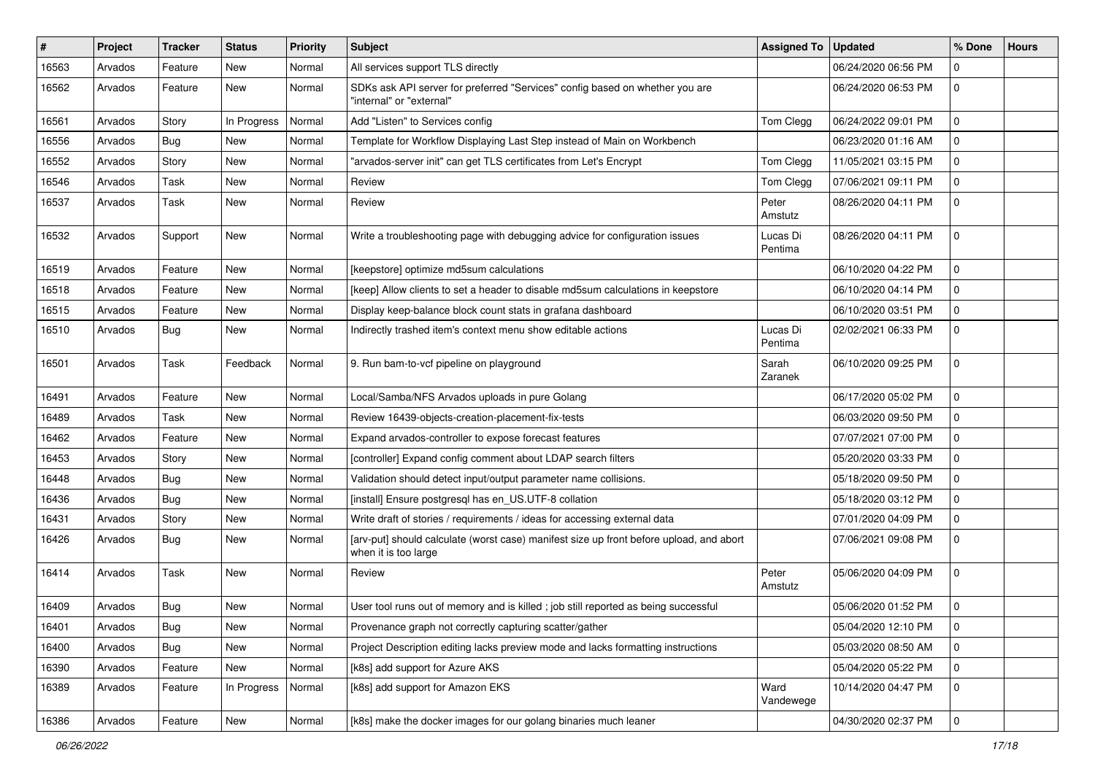| $\vert$ # | Project | <b>Tracker</b> | <b>Status</b> | <b>Priority</b> | <b>Subject</b>                                                                                                  | <b>Assigned To</b>  | <b>Updated</b>      | % Done      | <b>Hours</b> |
|-----------|---------|----------------|---------------|-----------------|-----------------------------------------------------------------------------------------------------------------|---------------------|---------------------|-------------|--------------|
| 16563     | Arvados | Feature        | <b>New</b>    | Normal          | All services support TLS directly                                                                               |                     | 06/24/2020 06:56 PM | $\mathbf 0$ |              |
| 16562     | Arvados | Feature        | <b>New</b>    | Normal          | SDKs ask API server for preferred "Services" config based on whether you are<br>"internal" or "external"        |                     | 06/24/2020 06:53 PM | $\mathbf 0$ |              |
| 16561     | Arvados | Story          | In Progress   | Normal          | Add "Listen" to Services config                                                                                 | Tom Clegg           | 06/24/2022 09:01 PM | $\mathbf 0$ |              |
| 16556     | Arvados | Bug            | <b>New</b>    | Normal          | Template for Workflow Displaying Last Step instead of Main on Workbench                                         |                     | 06/23/2020 01:16 AM | $\mathbf 0$ |              |
| 16552     | Arvados | Story          | New           | Normal          | "arvados-server init" can get TLS certificates from Let's Encrypt                                               | Tom Clegg           | 11/05/2021 03:15 PM | $\mathbf 0$ |              |
| 16546     | Arvados | Task           | <b>New</b>    | Normal          | Review                                                                                                          | Tom Clegg           | 07/06/2021 09:11 PM | $\mathbf 0$ |              |
| 16537     | Arvados | Task           | New           | Normal          | Review                                                                                                          | Peter<br>Amstutz    | 08/26/2020 04:11 PM | $\mathbf 0$ |              |
| 16532     | Arvados | Support        | <b>New</b>    | Normal          | Write a troubleshooting page with debugging advice for configuration issues                                     | Lucas Di<br>Pentima | 08/26/2020 04:11 PM | $\mathbf 0$ |              |
| 16519     | Arvados | Feature        | <b>New</b>    | Normal          | [keepstore] optimize md5sum calculations                                                                        |                     | 06/10/2020 04:22 PM | $\mathbf 0$ |              |
| 16518     | Arvados | Feature        | <b>New</b>    | Normal          | [keep] Allow clients to set a header to disable md5sum calculations in keepstore                                |                     | 06/10/2020 04:14 PM | 0           |              |
| 16515     | Arvados | Feature        | <b>New</b>    | Normal          | Display keep-balance block count stats in grafana dashboard                                                     |                     | 06/10/2020 03:51 PM | $\mathbf 0$ |              |
| 16510     | Arvados | <b>Bug</b>     | <b>New</b>    | Normal          | Indirectly trashed item's context menu show editable actions                                                    | Lucas Di<br>Pentima | 02/02/2021 06:33 PM | $\mathbf 0$ |              |
| 16501     | Arvados | Task           | Feedback      | Normal          | 9. Run bam-to-vcf pipeline on playground                                                                        | Sarah<br>Zaranek    | 06/10/2020 09:25 PM | $\mathbf 0$ |              |
| 16491     | Arvados | Feature        | <b>New</b>    | Normal          | Local/Samba/NFS Arvados uploads in pure Golang                                                                  |                     | 06/17/2020 05:02 PM | $\mathbf 0$ |              |
| 16489     | Arvados | Task           | <b>New</b>    | Normal          | Review 16439-objects-creation-placement-fix-tests                                                               |                     | 06/03/2020 09:50 PM | $\mathbf 0$ |              |
| 16462     | Arvados | Feature        | <b>New</b>    | Normal          | Expand arvados-controller to expose forecast features                                                           |                     | 07/07/2021 07:00 PM | $\mathbf 0$ |              |
| 16453     | Arvados | Story          | New           | Normal          | [controller] Expand config comment about LDAP search filters                                                    |                     | 05/20/2020 03:33 PM | $\mathbf 0$ |              |
| 16448     | Arvados | Bug            | New           | Normal          | Validation should detect input/output parameter name collisions.                                                |                     | 05/18/2020 09:50 PM | $\mathbf 0$ |              |
| 16436     | Arvados | <b>Bug</b>     | <b>New</b>    | Normal          | [install] Ensure postgresql has en_US.UTF-8 collation                                                           |                     | 05/18/2020 03:12 PM | $\mathbf 0$ |              |
| 16431     | Arvados | Story          | <b>New</b>    | Normal          | Write draft of stories / requirements / ideas for accessing external data                                       |                     | 07/01/2020 04:09 PM | $\mathbf 0$ |              |
| 16426     | Arvados | Bug            | <b>New</b>    | Normal          | [arv-put] should calculate (worst case) manifest size up front before upload, and abort<br>when it is too large |                     | 07/06/2021 09:08 PM | $\mathbf 0$ |              |
| 16414     | Arvados | Task           | <b>New</b>    | Normal          | Review                                                                                                          | Peter<br>Amstutz    | 05/06/2020 04:09 PM | $\Omega$    |              |
| 16409     | Arvados | Bug            | <b>New</b>    | Normal          | User tool runs out of memory and is killed; job still reported as being successful                              |                     | 05/06/2020 01:52 PM | $\mathbf 0$ |              |
| 16401     | Arvados | <b>Bug</b>     | New           | Normal          | Provenance graph not correctly capturing scatter/gather                                                         |                     | 05/04/2020 12:10 PM | l 0         |              |
| 16400     | Arvados | <b>Bug</b>     | New           | Normal          | Project Description editing lacks preview mode and lacks formatting instructions                                |                     | 05/03/2020 08:50 AM | 0           |              |
| 16390     | Arvados | Feature        | New           | Normal          | [k8s] add support for Azure AKS                                                                                 |                     | 05/04/2020 05:22 PM | 0           |              |
| 16389     | Arvados | Feature        | In Progress   | Normal          | [k8s] add support for Amazon EKS                                                                                | Ward<br>Vandewege   | 10/14/2020 04:47 PM | $\mathbf 0$ |              |
| 16386     | Arvados | Feature        | New           | Normal          | [k8s] make the docker images for our golang binaries much leaner                                                |                     | 04/30/2020 02:37 PM | 0           |              |